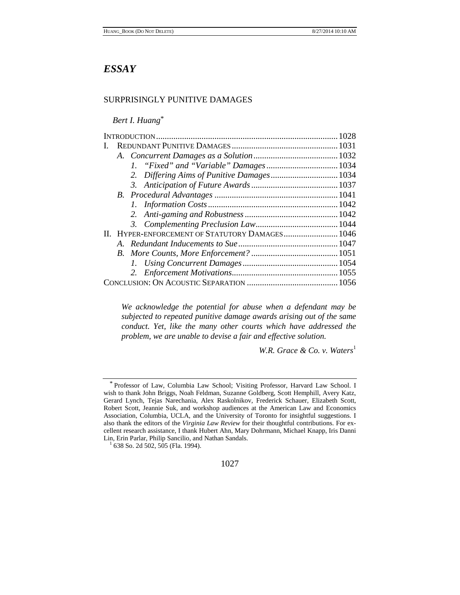# *ESSAY*

# SURPRISINGLY PUNITIVE DAMAGES

*Bert I. Huang*\*

|  |         | II. HYPER-ENFORCEMENT OF STATUTORY DAMAGES 1046 |  |
|--|---------|-------------------------------------------------|--|
|  | $A_{-}$ |                                                 |  |
|  |         |                                                 |  |
|  |         |                                                 |  |
|  |         |                                                 |  |
|  |         |                                                 |  |
|  |         |                                                 |  |

*We acknowledge the potential for abuse when a defendant may be subjected to repeated punitive damage awards arising out of the same conduct. Yet, like the many other courts which have addressed the problem, we are unable to devise a fair and effective solution.*

*W.R. Grace & Co. v. Waters*<sup>1</sup>



<sup>\*</sup> Professor of Law, Columbia Law School; Visiting Professor, Harvard Law School. I wish to thank John Briggs, Noah Feldman, Suzanne Goldberg, Scott Hemphill, Avery Katz, Gerard Lynch, Tejas Narechania, Alex Raskolnikov, Frederick Schauer, Elizabeth Scott, Robert Scott, Jeannie Suk, and workshop audiences at the American Law and Economics Association, Columbia, UCLA, and the University of Toronto for insightful suggestions. I also thank the editors of the *Virginia Law Review* for their thoughtful contributions. For excellent research assistance, I thank Hubert Ahn, Mary Dohrmann, Michael Knapp, Iris Danni Lin, Erin Parlar, Philip Sancilio, and Nathan Sandals. 1 638 So. 2d 502, 505 (Fla. 1994).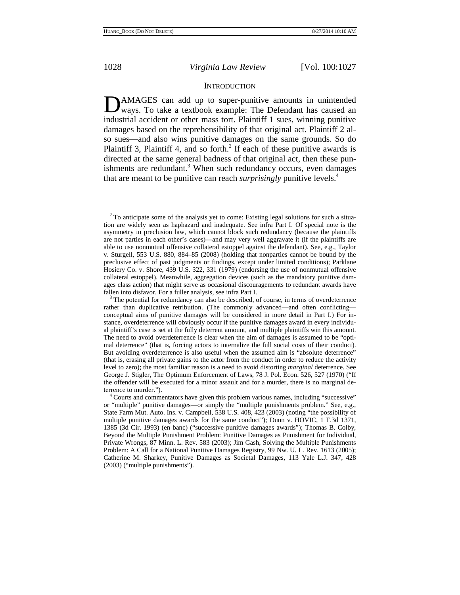## **INTRODUCTION**

**D**AMAGES can add up to super-punitive amounts in unintended ways. To take a textbook example: The Defendant has caused an ways. To take a textbook example: The Defendant has caused an industrial accident or other mass tort. Plaintiff 1 sues, winning punitive damages based on the reprehensibility of that original act. Plaintiff 2 also sues—and also wins punitive damages on the same grounds. So do Plaintiff 3, Plaintiff 4, and so forth.<sup>2</sup> If each of these punitive awards is directed at the same general badness of that original act, then these punishments are redundant. $3$  When such redundancy occurs, even damages that are meant to be punitive can reach *surprisingly* punitive levels.4

 $2$ <sup>2</sup> To anticipate some of the analysis yet to come: Existing legal solutions for such a situation are widely seen as haphazard and inadequate. See infra Part I. Of special note is the asymmetry in preclusion law, which cannot block such redundancy (because the plaintiffs are not parties in each other's cases)—and may very well aggravate it (if the plaintiffs are able to use nonmutual offensive collateral estoppel against the defendant). See, e.g., Taylor v. Sturgell, 553 U.S. 880, 884–85 (2008) (holding that nonparties cannot be bound by the preclusive effect of past judgments or findings, except under limited conditions); Parklane Hosiery Co. v. Shore, 439 U.S. 322, 331 (1979) (endorsing the use of nonmutual offensive collateral estoppel). Meanwhile, aggregation devices (such as the mandatory punitive damages class action) that might serve as occasional discouragements to redundant awards have fallen into disfavor. For a fuller analysis, see infra Part I.<br><sup>3</sup> The potential for redundancy can also be described, of course, in terms of overdeterrence

rather than duplicative retribution. (The commonly advanced—and often conflicting conceptual aims of punitive damages will be considered in more detail in Part I.) For instance, overdeterrence will obviously occur if the punitive damages award in every individual plaintiff's case is set at the fully deterrent amount, and multiple plaintiffs win this amount. The need to avoid overdeterrence is clear when the aim of damages is assumed to be "optimal deterrence" (that is, forcing actors to internalize the full social costs of their conduct). But avoiding overdeterrence is also useful when the assumed aim is "absolute deterrence" (that is, erasing all private gains to the actor from the conduct in order to reduce the activity level to zero); the most familiar reason is a need to avoid distorting *marginal* deterrence. See George J. Stigler, The Optimum Enforcement of Laws, 78 J. Pol. Econ. 526, 527 (1970) ("If the offender will be executed for a minor assault and for a murder, there is no marginal deterrence to murder.").  $4^4$  Courts and commentators have given this problem various names, including "successive"

or "multiple" punitive damages—or simply the "multiple punishments problem." See, e.g., State Farm Mut. Auto. Ins. v. Campbell, 538 U.S. 408, 423 (2003) (noting "the possibility of multiple punitive damages awards for the same conduct"); Dunn v. HOVIC, 1 F.3d 1371, 1385 (3d Cir. 1993) (en banc) ("successive punitive damages awards"); Thomas B. Colby, Beyond the Multiple Punishment Problem: Punitive Damages as Punishment for Individual, Private Wrongs, 87 Minn. L. Rev. 583 (2003); Jim Gash, Solving the Multiple Punishments Problem: A Call for a National Punitive Damages Registry, 99 Nw. U. L. Rev. 1613 (2005); Catherine M. Sharkey, Punitive Damages as Societal Damages, 113 Yale L.J. 347, 428 (2003) ("multiple punishments").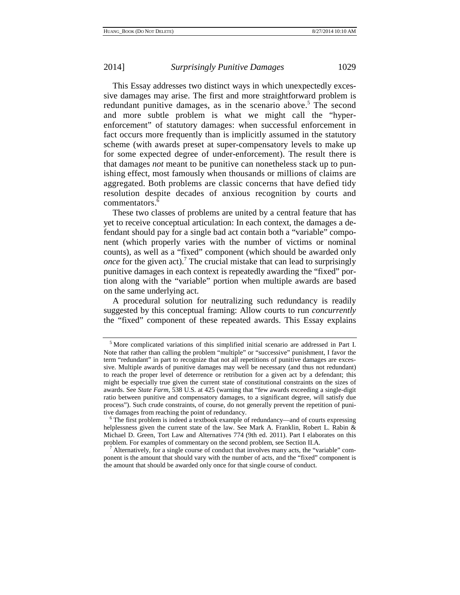This Essay addresses two distinct ways in which unexpectedly excessive damages may arise. The first and more straightforward problem is redundant punitive damages, as in the scenario above.<sup>5</sup> The second and more subtle problem is what we might call the "hyperenforcement" of statutory damages: when successful enforcement in fact occurs more frequently than is implicitly assumed in the statutory scheme (with awards preset at super-compensatory levels to make up for some expected degree of under-enforcement). The result there is that damages *not* meant to be punitive can nonetheless stack up to punishing effect, most famously when thousands or millions of claims are aggregated. Both problems are classic concerns that have defied tidy resolution despite decades of anxious recognition by courts and commentators.<sup>6</sup>

These two classes of problems are united by a central feature that has yet to receive conceptual articulation: In each context, the damages a defendant should pay for a single bad act contain both a "variable" component (which properly varies with the number of victims or nominal counts), as well as a "fixed" component (which should be awarded only *once* for the given act).<sup>7</sup> The crucial mistake that can lead to surprisingly punitive damages in each context is repeatedly awarding the "fixed" portion along with the "variable" portion when multiple awards are based on the same underlying act.

A procedural solution for neutralizing such redundancy is readily suggested by this conceptual framing: Allow courts to run *concurrently* the "fixed" component of these repeated awards. This Essay explains

<sup>5</sup> More complicated variations of this simplified initial scenario are addressed in Part I. Note that rather than calling the problem "multiple" or "successive" punishment, I favor the term "redundant" in part to recognize that not all repetitions of punitive damages are excessive. Multiple awards of punitive damages may well be necessary (and thus not redundant) to reach the proper level of deterrence or retribution for a given act by a defendant; this might be especially true given the current state of constitutional constraints on the sizes of awards. See *State Farm*, 538 U.S. at 425 (warning that "few awards exceeding a single-digit ratio between punitive and compensatory damages, to a significant degree, will satisfy due process"). Such crude constraints, of course, do not generally prevent the repetition of punitive damages from reaching the point of redundancy.

 $6$  The first problem is indeed a textbook example of redundancy—and of courts expressing helplessness given the current state of the law. See Mark A. Franklin, Robert L. Rabin & Michael D. Green, Tort Law and Alternatives 774 (9th ed. 2011). Part I elaborates on this problem. For examples of commentary on the second problem, see Section II.A.

Alternatively, for a single course of conduct that involves many acts, the "variable" component is the amount that should vary with the number of acts, and the "fixed" component is the amount that should be awarded only once for that single course of conduct.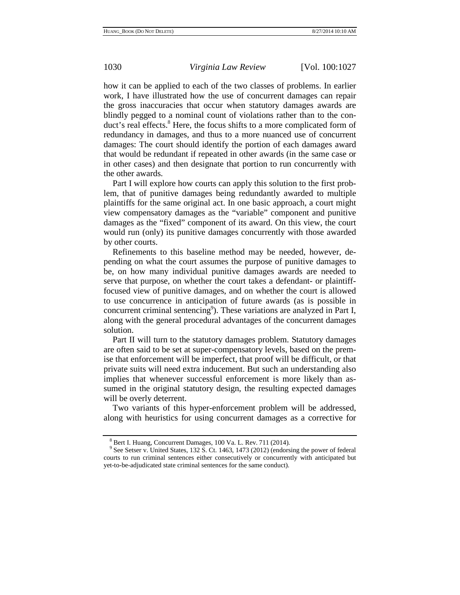how it can be applied to each of the two classes of problems. In earlier work, I have illustrated how the use of concurrent damages can repair the gross inaccuracies that occur when statutory damages awards are blindly pegged to a nominal count of violations rather than to the conduct's real effects.<sup>8</sup> Here, the focus shifts to a more complicated form of redundancy in damages, and thus to a more nuanced use of concurrent damages: The court should identify the portion of each damages award that would be redundant if repeated in other awards (in the same case or in other cases) and then designate that portion to run concurrently with the other awards.

Part I will explore how courts can apply this solution to the first problem, that of punitive damages being redundantly awarded to multiple plaintiffs for the same original act. In one basic approach, a court might view compensatory damages as the "variable" component and punitive damages as the "fixed" component of its award. On this view, the court would run (only) its punitive damages concurrently with those awarded by other courts.

Refinements to this baseline method may be needed, however, depending on what the court assumes the purpose of punitive damages to be, on how many individual punitive damages awards are needed to serve that purpose, on whether the court takes a defendant- or plaintifffocused view of punitive damages, and on whether the court is allowed to use concurrence in anticipation of future awards (as is possible in concurrent criminal sentencing<sup>9</sup>). These variations are analyzed in Part I, along with the general procedural advantages of the concurrent damages solution.

Part II will turn to the statutory damages problem. Statutory damages are often said to be set at super-compensatory levels, based on the premise that enforcement will be imperfect, that proof will be difficult, or that private suits will need extra inducement. But such an understanding also implies that whenever successful enforcement is more likely than assumed in the original statutory design, the resulting expected damages will be overly deterrent.

Two variants of this hyper-enforcement problem will be addressed, along with heuristics for using concurrent damages as a corrective for

 $8$  Bert I. Huang, Concurrent Damages, 100 Va. L. Rev. 711 (2014).<br> $9$  See Setser v. United States, 132 S. Ct. 1463, 1473 (2012) (endorsing the power of federal courts to run criminal sentences either consecutively or concurrently with anticipated but yet-to-be-adjudicated state criminal sentences for the same conduct).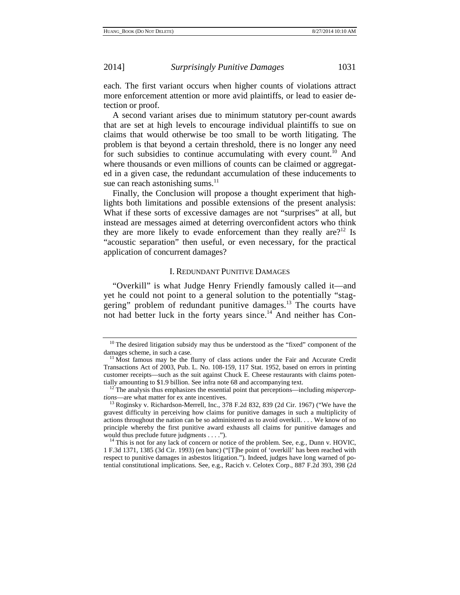each. The first variant occurs when higher counts of violations attract more enforcement attention or more avid plaintiffs, or lead to easier detection or proof.

A second variant arises due to minimum statutory per-count awards that are set at high levels to encourage individual plaintiffs to sue on claims that would otherwise be too small to be worth litigating. The problem is that beyond a certain threshold, there is no longer any need for such subsidies to continue accumulating with every count.<sup>10</sup> And where thousands or even millions of counts can be claimed or aggregated in a given case, the redundant accumulation of these inducements to sue can reach astonishing sums.<sup>11</sup>

Finally, the Conclusion will propose a thought experiment that highlights both limitations and possible extensions of the present analysis: What if these sorts of excessive damages are not "surprises" at all, but instead are messages aimed at deterring overconfident actors who think they are more likely to evade enforcement than they really are?<sup>12</sup> Is "acoustic separation" then useful, or even necessary, for the practical application of concurrent damages?

## I. REDUNDANT PUNITIVE DAMAGES

"Overkill" is what Judge Henry Friendly famously called it—and yet he could not point to a general solution to the potentially "staggering" problem of redundant punitive damages.13 The courts have not had better luck in the forty years since.<sup>14</sup> And neither has Con-

 $10$  The desired litigation subsidy may thus be understood as the "fixed" component of the damages scheme, in such a case.<br> $11$  Most famous may be the flurry of class actions under the Fair and Accurate Credit

Transactions Act of 2003, Pub. L. No. 108-159, 117 Stat. 1952, based on errors in printing customer receipts—such as the suit against Chuck E. Cheese restaurants with claims poten-

tially amounting to \$1.9 billion. See infra note 68 and accompanying text.<br><sup>12</sup> The analysis thus emphasizes the essential point that perceptions—including *misperceptions*—are what matter for ex ante incentives.

<sup>&</sup>lt;sup>13</sup> Roginsky v. Richardson-Merrell, Inc., 378 F.2d 832, 839 (2d Cir. 1967) ("We have the gravest difficulty in perceiving how claims for punitive damages in such a multiplicity of actions throughout the nation can be so administered as to avoid overkill. . . . We know of no principle whereby the first punitive award exhausts all claims for punitive damages and would thus preclude future judgments . . . .").

 $14$  This is not for any lack of concern or notice of the problem. See, e.g., Dunn v. HOVIC, 1 F.3d 1371, 1385 (3d Cir. 1993) (en banc) ("[T]he point of 'overkill' has been reached with respect to punitive damages in asbestos litigation."). Indeed, judges have long warned of potential constitutional implications. See, e.g., Racich v. Celotex Corp., 887 F.2d 393, 398 (2d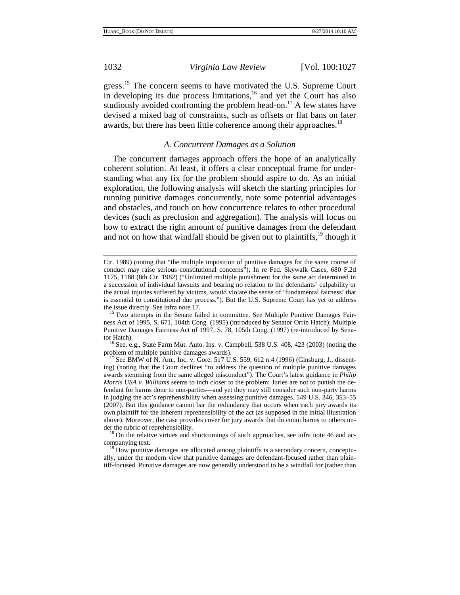gress.<sup>15</sup> The concern seems to have motivated the U.S. Supreme Court in developing its due process limitations, $16$  and yet the Court has also studiously avoided confronting the problem head-on.<sup>17</sup> A few states have devised a mixed bag of constraints, such as offsets or flat bans on later awards, but there has been little coherence among their approaches.<sup>18</sup>

# *A. Concurrent Damages as a Solution*

The concurrent damages approach offers the hope of an analytically coherent solution. At least, it offers a clear conceptual frame for understanding what any fix for the problem should aspire to do. As an initial exploration, the following analysis will sketch the starting principles for running punitive damages concurrently, note some potential advantages and obstacles, and touch on how concurrence relates to other procedural devices (such as preclusion and aggregation). The analysis will focus on how to extract the right amount of punitive damages from the defendant and not on how that windfall should be given out to plaintiffs,  $^{19}$  though it

tor Hatch).<br><sup>16</sup> See, e.g., State Farm Mut. Auto. Ins. v. Campbell, 538 U.S. 408, 423 (2003) (noting the problem of multiple punitive damages awards).

companying text.<br><sup>19</sup> How punitive damages are allocated among plaintiffs is a secondary concern, conceptu-

ally, under the modern view that punitive damages are defendant-focused rather than plaintiff-focused. Punitive damages are now generally understood to be a windfall for (rather than

Cir. 1989) (noting that "the multiple imposition of punitive damages for the same course of conduct may raise serious constitutional concerns"); In re Fed. Skywalk Cases, 680 F.2d 1175, 1188 (8th Cir. 1982) ("Unlimited multiple punishment for the same act determined in a succession of individual lawsuits and bearing no relation to the defendants' culpability or the actual injuries suffered by victims, would violate the sense of 'fundamental fairness' that is essential to constitutional due process."). But the U.S. Supreme Court has yet to address

the issue directly. See infra note 17.<br><sup>15</sup> Two attempts in the Senate failed in committee. See Multiple Punitive Damages Fairness Act of 1995, S. 671, 104th Cong. (1995) (introduced by Senator Orrin Hatch); Multiple Punitive Damages Fairness Act of 1997, S. 78, 105th Cong. (1997) (re-introduced by Sena-

 $^{17}$  See BMW of N. Am., Inc. v. Gore, 517 U.S. 559, 612 n.4 (1996) (Ginsburg, J., dissenting) (noting that the Court declines "to address the question of multiple punitive damages awards stemming from the same alleged misconduct"). The Court's latest guidance in *Philip Morris USA v. Williams* seems to inch closer to the problem: Juries are not to punish the defendant for harms done to non-parties—and yet they may still consider such non-party harms in judging the act's reprehensibility when assessing punitive damages. 549 U.S. 346, 353–55 (2007). But this guidance cannot bar the redundancy that occurs when each jury awards its own plaintiff for the inherent reprehensibility of the act (as supposed in the initial illustration above). Moreover, the case provides cover for jury awards that do count harms to others under the rubric of reprehensibility.<br><sup>18</sup> On the relative virtues and shortcomings of such approaches, see infra note 46 and ac-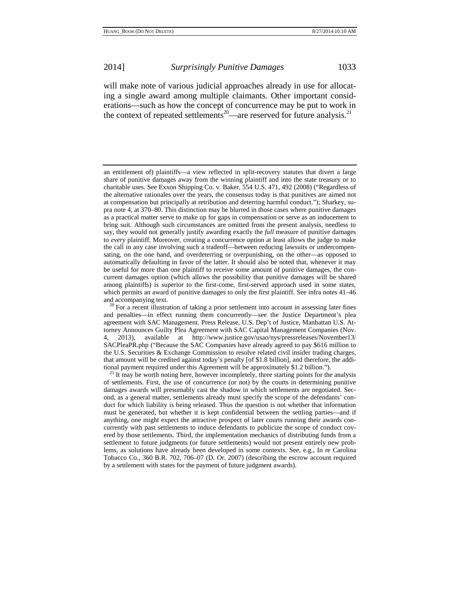will make note of various judicial approaches already in use for allocating a single award among multiple claimants. Other important considerations—such as how the concept of concurrence may be put to work in the context of repeated settlements<sup>20</sup>—are reserved for future analysis.<sup>21</sup>

an entitlement of) plaintiffs—a view reflected in split-recovery statutes that divert a large share of punitive damages away from the winning plaintiff and into the state treasury or to charitable uses. See Exxon Shipping Co. v. Baker, 554 U.S. 471, 492 (2008) ("Regardless of the alternative rationales over the years, the consensus today is that punitives are aimed not at compensation but principally at retribution and deterring harmful conduct."); Sharkey, supra note 4, at 370–80. This distinction may be blurred in those cases where punitive damages as a practical matter serve to make up for gaps in compensation or serve as an inducement to bring suit. Although such circumstances are omitted from the present analysis, needless to say, they would not generally justify awarding exactly the *full* measure of punitive damages to *every* plaintiff. Moreover, creating a concurrence option at least allows the judge to make the call in any case involving such a tradeoff—between reducing lawsuits or undercompensating, on the one hand, and overdeterring or overpunishing, on the other—as opposed to automatically defaulting in favor of the latter. It should also be noted that, whenever it may be useful for more than one plaintiff to receive some amount of punitive damages, the concurrent damages option (which allows the possibility that punitive damages will be shared among plaintiffs) is superior to the first-come, first-served approach used in some states, which permits an award of punitive damages to only the first plaintiff. See infra notes 41–46 and accompanying text.

 $20$  For a recent illustration of taking a prior settlement into account in assessing later fines and penalties—in effect running them concurrently—see the Justice Department's plea agreement with SAC Management. Press Release, U.S. Dep't of Justice, Manhattan U.S. Attorney Announces Guilty Plea Agreement with SAC Capital Management Companies (Nov. 4, 2013), available at http://www.justice.gov/usao/nys/pressreleases/November13/ SACPleaPR.php ("Because the SAC Companies have already agreed to pay \$616 million to the U.S. Securities & Exchange Commission to resolve related civil insider trading charges, that amount will be credited against today's penalty [of \$1.8 billion], and therefore, the additional payment required under this Agreement will be approximately \$1.2 billion."). <sup>21</sup> It may be worth noting here, however incompletely, three starting points for the analysis

of settlements. First, the use of concurrence (or not) by the courts in determining punitive damages awards will presumably cast the shadow in which settlements are negotiated. Second, as a general matter, settlements already must specify the scope of the defendants' conduct for which liability is being released. Thus the question is not whether that information must be generated, but whether it is kept confidential between the settling parties—and if anything, one might expect the attractive prospect of later courts running their awards concurrently with past settlements to induce defendants to publicize the scope of conduct covered by those settlements. Third, the implementation mechanics of distributing funds from a settlement to future judgments (or future settlements) would not present entirely new problems, as solutions have already been developed in some contexts. See, e.g., In re Carolina Tobacco Co., 360 B.R. 702, 706–07 (D. Or. 2007) (describing the escrow account required by a settlement with states for the payment of future judgment awards).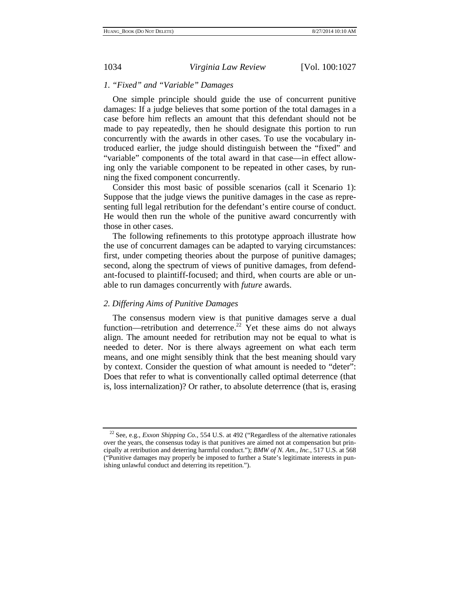# *1. "Fixed" and "Variable" Damages*

One simple principle should guide the use of concurrent punitive damages: If a judge believes that some portion of the total damages in a case before him reflects an amount that this defendant should not be made to pay repeatedly, then he should designate this portion to run concurrently with the awards in other cases. To use the vocabulary introduced earlier, the judge should distinguish between the "fixed" and "variable" components of the total award in that case—in effect allowing only the variable component to be repeated in other cases, by running the fixed component concurrently.

Consider this most basic of possible scenarios (call it Scenario 1): Suppose that the judge views the punitive damages in the case as representing full legal retribution for the defendant's entire course of conduct. He would then run the whole of the punitive award concurrently with those in other cases.

The following refinements to this prototype approach illustrate how the use of concurrent damages can be adapted to varying circumstances: first, under competing theories about the purpose of punitive damages; second, along the spectrum of views of punitive damages, from defendant-focused to plaintiff-focused; and third, when courts are able or unable to run damages concurrently with *future* awards.

## *2. Differing Aims of Punitive Damages*

The consensus modern view is that punitive damages serve a dual function—retribution and deterrence.<sup>22</sup> Yet these aims do not always align. The amount needed for retribution may not be equal to what is needed to deter. Nor is there always agreement on what each term means, and one might sensibly think that the best meaning should vary by context. Consider the question of what amount is needed to "deter": Does that refer to what is conventionally called optimal deterrence (that is, loss internalization)? Or rather, to absolute deterrence (that is, erasing

<sup>22</sup> See, e.g., *Exxon Shipping Co.*, 554 U.S. at 492 ("Regardless of the alternative rationales over the years, the consensus today is that punitives are aimed not at compensation but principally at retribution and deterring harmful conduct."); *BMW of N. Am., Inc.*, 517 U.S. at 568 ("Punitive damages may properly be imposed to further a State's legitimate interests in punishing unlawful conduct and deterring its repetition.").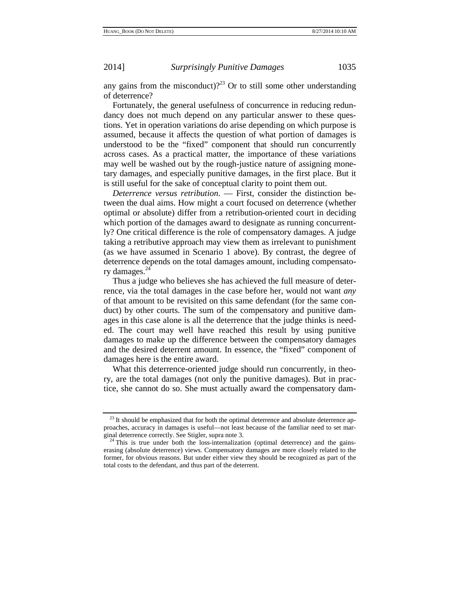any gains from the misconduct)?<sup>23</sup> Or to still some other understanding of deterrence?

Fortunately, the general usefulness of concurrence in reducing redundancy does not much depend on any particular answer to these questions. Yet in operation variations do arise depending on which purpose is assumed, because it affects the question of what portion of damages is understood to be the "fixed" component that should run concurrently across cases. As a practical matter, the importance of these variations may well be washed out by the rough-justice nature of assigning monetary damages, and especially punitive damages, in the first place. But it is still useful for the sake of conceptual clarity to point them out.

*Deterrence versus retribution*. — First, consider the distinction between the dual aims. How might a court focused on deterrence (whether optimal or absolute) differ from a retribution-oriented court in deciding which portion of the damages award to designate as running concurrently? One critical difference is the role of compensatory damages. A judge taking a retributive approach may view them as irrelevant to punishment (as we have assumed in Scenario 1 above). By contrast, the degree of deterrence depends on the total damages amount, including compensatory damages.<sup>24</sup>

Thus a judge who believes she has achieved the full measure of deterrence, via the total damages in the case before her, would not want *any* of that amount to be revisited on this same defendant (for the same conduct) by other courts. The sum of the compensatory and punitive damages in this case alone is all the deterrence that the judge thinks is needed. The court may well have reached this result by using punitive damages to make up the difference between the compensatory damages and the desired deterrent amount. In essence, the "fixed" component of damages here is the entire award.

What this deterrence-oriented judge should run concurrently, in theory, are the total damages (not only the punitive damages). But in practice, she cannot do so. She must actually award the compensatory dam-

 $23$  It should be emphasized that for both the optimal deterrence and absolute deterrence approaches, accuracy in damages is useful—not least because of the familiar need to set mar-

<sup>&</sup>lt;sup>24</sup> This is true under both the loss-internalization (optimal deterrence) and the gainserasing (absolute deterrence) views. Compensatory damages are more closely related to the former, for obvious reasons. But under either view they should be recognized as part of the total costs to the defendant, and thus part of the deterrent.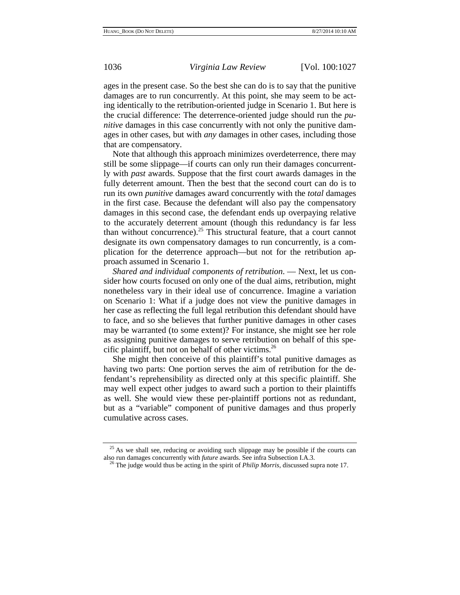ages in the present case. So the best she can do is to say that the punitive damages are to run concurrently. At this point, she may seem to be acting identically to the retribution-oriented judge in Scenario 1. But here is the crucial difference: The deterrence-oriented judge should run the *punitive* damages in this case concurrently with not only the punitive damages in other cases, but with *any* damages in other cases, including those that are compensatory.

Note that although this approach minimizes overdeterrence, there may still be some slippage—if courts can only run their damages concurrently with *past* awards. Suppose that the first court awards damages in the fully deterrent amount. Then the best that the second court can do is to run its own *punitive* damages award concurrently with the *total* damages in the first case. Because the defendant will also pay the compensatory damages in this second case, the defendant ends up overpaying relative to the accurately deterrent amount (though this redundancy is far less than without concurrence).<sup>25</sup> This structural feature, that a court cannot designate its own compensatory damages to run concurrently, is a complication for the deterrence approach—but not for the retribution approach assumed in Scenario 1.

*Shared and individual components of retribution*. — Next, let us consider how courts focused on only one of the dual aims, retribution, might nonetheless vary in their ideal use of concurrence. Imagine a variation on Scenario 1: What if a judge does not view the punitive damages in her case as reflecting the full legal retribution this defendant should have to face, and so she believes that further punitive damages in other cases may be warranted (to some extent)? For instance, she might see her role as assigning punitive damages to serve retribution on behalf of this specific plaintiff, but not on behalf of other victims.<sup>26</sup>

She might then conceive of this plaintiff's total punitive damages as having two parts: One portion serves the aim of retribution for the defendant's reprehensibility as directed only at this specific plaintiff. She may well expect other judges to award such a portion to their plaintiffs as well. She would view these per-plaintiff portions not as redundant, but as a "variable" component of punitive damages and thus properly cumulative across cases.

<sup>&</sup>lt;sup>25</sup> As we shall see, reducing or avoiding such slippage may be possible if the courts can also run damages concurrently with *future* awards. See infra Subsection I.A.3. 26 The judge would thus be acting in the spirit of *Philip Morris*, discussed supra note 17.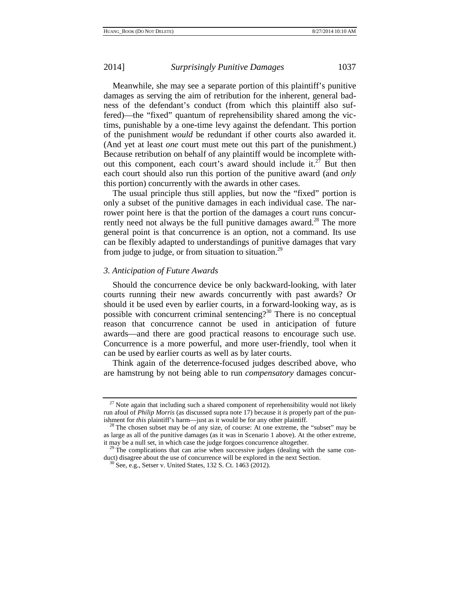Meanwhile, she may see a separate portion of this plaintiff's punitive damages as serving the aim of retribution for the inherent, general badness of the defendant's conduct (from which this plaintiff also suffered)—the "fixed" quantum of reprehensibility shared among the victims, punishable by a one-time levy against the defendant. This portion of the punishment *would* be redundant if other courts also awarded it. (And yet at least *one* court must mete out this part of the punishment.) Because retribution on behalf of any plaintiff would be incomplete without this component, each court's award should include it. $27$  But then each court should also run this portion of the punitive award (and *only* this portion) concurrently with the awards in other cases.

The usual principle thus still applies, but now the "fixed" portion is only a subset of the punitive damages in each individual case. The narrower point here is that the portion of the damages a court runs concurrently need not always be the full punitive damages award.<sup>28</sup> The more general point is that concurrence is an option, not a command. Its use can be flexibly adapted to understandings of punitive damages that vary from judge to judge, or from situation to situation.<sup>29</sup>

# *3. Anticipation of Future Awards*

Should the concurrence device be only backward-looking, with later courts running their new awards concurrently with past awards? Or should it be used even by earlier courts, in a forward-looking way, as is possible with concurrent criminal sentencing? $30$  There is no conceptual reason that concurrence cannot be used in anticipation of future awards—and there are good practical reasons to encourage such use. Concurrence is a more powerful, and more user-friendly, tool when it can be used by earlier courts as well as by later courts.

Think again of the deterrence-focused judges described above, who are hamstrung by not being able to run *compensatory* damages concur-

 $27$  Note again that including such a shared component of reprehensibility would not likely run afoul of *Philip Morris* (as discussed supra note 17) because it *is* properly part of the punishment for *this* plaintiff's harm—just as it would be for any other plaintiff.<br><sup>28</sup> The chosen subset may be of any size, of course: At one extreme, the "subset" may be

as large as all of the punitive damages (as it was in Scenario 1 above). At the other extreme, it may be a null set, in which case the judge forgoes concurrence altogether.

 $^{29}$  The complications that can arise when successive judges (dealing with the same conduct) disagree about the use of concurrence will be explored in the next Section. <sup>30</sup> See, e.g., Setser v. United States, 132 S. Ct. 1463 (2012).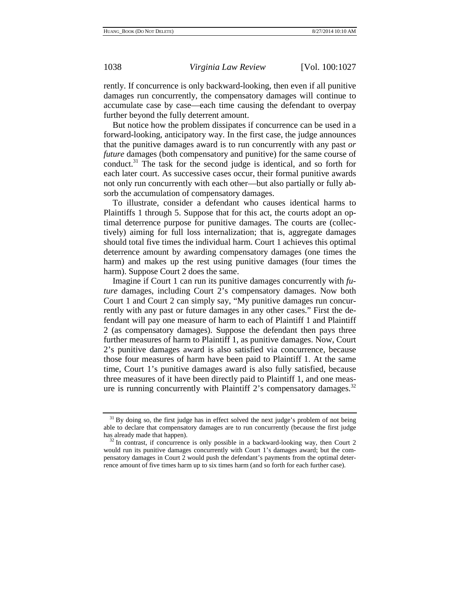rently. If concurrence is only backward-looking, then even if all punitive damages run concurrently, the compensatory damages will continue to accumulate case by case—each time causing the defendant to overpay further beyond the fully deterrent amount.

But notice how the problem dissipates if concurrence can be used in a forward-looking, anticipatory way. In the first case, the judge announces that the punitive damages award is to run concurrently with any past *or future* damages (both compensatory and punitive) for the same course of conduct.31 The task for the second judge is identical, and so forth for each later court. As successive cases occur, their formal punitive awards not only run concurrently with each other—but also partially or fully absorb the accumulation of compensatory damages.

To illustrate, consider a defendant who causes identical harms to Plaintiffs 1 through 5. Suppose that for this act, the courts adopt an optimal deterrence purpose for punitive damages. The courts are (collectively) aiming for full loss internalization; that is, aggregate damages should total five times the individual harm. Court 1 achieves this optimal deterrence amount by awarding compensatory damages (one times the harm) and makes up the rest using punitive damages (four times the harm). Suppose Court 2 does the same.

Imagine if Court 1 can run its punitive damages concurrently with *future* damages, including Court 2's compensatory damages. Now both Court 1 and Court 2 can simply say, "My punitive damages run concurrently with any past or future damages in any other cases." First the defendant will pay one measure of harm to each of Plaintiff 1 and Plaintiff 2 (as compensatory damages). Suppose the defendant then pays three further measures of harm to Plaintiff 1, as punitive damages. Now, Court 2's punitive damages award is also satisfied via concurrence, because those four measures of harm have been paid to Plaintiff 1. At the same time, Court 1's punitive damages award is also fully satisfied, because three measures of it have been directly paid to Plaintiff 1, and one measure is running concurrently with Plaintiff 2's compensatory damages. $32$ 

 $31$  By doing so, the first judge has in effect solved the next judge's problem of not being able to declare that compensatory damages are to run concurrently (because the first judge

 $32$  In contrast, if concurrence is only possible in a backward-looking way, then Court 2 would run its punitive damages concurrently with Court 1's damages award; but the compensatory damages in Court 2 would push the defendant's payments from the optimal deterrence amount of five times harm up to six times harm (and so forth for each further case).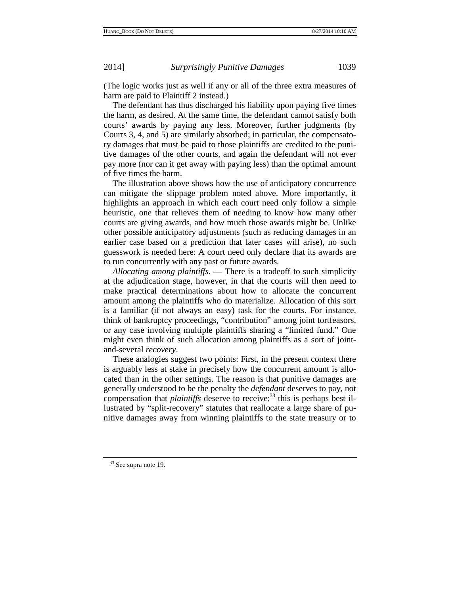(The logic works just as well if any or all of the three extra measures of harm are paid to Plaintiff 2 instead.)

The defendant has thus discharged his liability upon paying five times the harm, as desired. At the same time, the defendant cannot satisfy both courts' awards by paying any less. Moreover, further judgments (by Courts 3, 4, and 5) are similarly absorbed; in particular, the compensatory damages that must be paid to those plaintiffs are credited to the punitive damages of the other courts, and again the defendant will not ever pay more (nor can it get away with paying less) than the optimal amount of five times the harm.

The illustration above shows how the use of anticipatory concurrence can mitigate the slippage problem noted above. More importantly, it highlights an approach in which each court need only follow a simple heuristic, one that relieves them of needing to know how many other courts are giving awards, and how much those awards might be. Unlike other possible anticipatory adjustments (such as reducing damages in an earlier case based on a prediction that later cases will arise), no such guesswork is needed here: A court need only declare that its awards are to run concurrently with any past or future awards.

*Allocating among plaintiffs.* — There is a tradeoff to such simplicity at the adjudication stage, however, in that the courts will then need to make practical determinations about how to allocate the concurrent amount among the plaintiffs who do materialize. Allocation of this sort is a familiar (if not always an easy) task for the courts. For instance, think of bankruptcy proceedings, "contribution" among joint tortfeasors, or any case involving multiple plaintiffs sharing a "limited fund." One might even think of such allocation among plaintiffs as a sort of jointand-several *recovery*.

These analogies suggest two points: First, in the present context there is arguably less at stake in precisely how the concurrent amount is allocated than in the other settings. The reason is that punitive damages are generally understood to be the penalty the *defendant* deserves to pay, not compensation that *plaintiffs* deserve to receive;<sup>33</sup> this is perhaps best illustrated by "split-recovery" statutes that reallocate a large share of punitive damages away from winning plaintiffs to the state treasury or to

<sup>&</sup>lt;sup>33</sup> See supra note 19.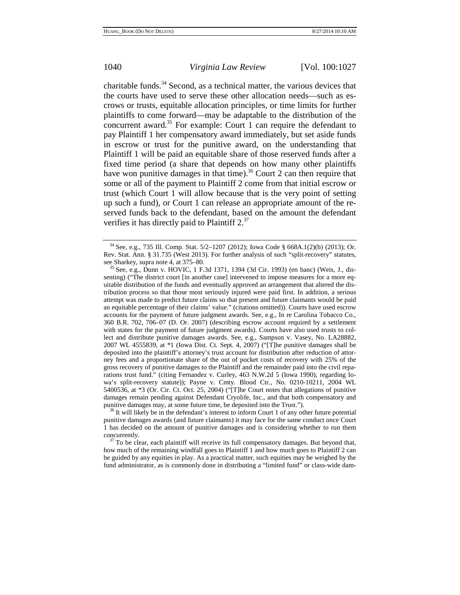charitable funds. $34$  Second, as a technical matter, the various devices that the courts have used to serve these other allocation needs—such as escrows or trusts, equitable allocation principles, or time limits for further plaintiffs to come forward—may be adaptable to the distribution of the concurrent award.35 For example: Court 1 can require the defendant to pay Plaintiff 1 her compensatory award immediately, but set aside funds in escrow or trust for the punitive award, on the understanding that Plaintiff 1 will be paid an equitable share of those reserved funds after a fixed time period (a share that depends on how many other plaintiffs have won punitive damages in that time).<sup>36</sup> Court 2 can then require that some or all of the payment to Plaintiff 2 come from that initial escrow or trust (which Court 1 will allow because that is the very point of setting up such a fund), or Court 1 can release an appropriate amount of the reserved funds back to the defendant, based on the amount the defendant verifies it has directly paid to Plaintiff 2.<sup>37</sup>

<sup>6</sup> It will likely be in the defendant's interest to inform Court 1 of any other future potential punitive damages awards (and future claimants) it may face for the same conduct once Court 1 has decided on the amount of punitive damages and is considering whether to run them concurrently.<br> $37$  To be clear, each plaintiff will receive its full compensatory damages. But beyond that,

how much of the remaining windfall goes to Plaintiff 1 and how much goes to Plaintiff 2 can be guided by any equities in play. As a practical matter, such equities may be weighed by the fund administrator, as is commonly done in distributing a "limited fund" or class-wide dam-

<sup>34</sup> See, e.g., 735 Ill. Comp. Stat. 5/2–1207 (2012); Iowa Code § 668A.1(2)(b) (2013); Or. Rev. Stat. Ann. § 31.735 (West 2013). For further analysis of such "split-recovery" statutes, see Sharkey, supra note 4, at 375–80.

 $\frac{35}{35}$  See, e.g., Dunn v. HOVIC, 1 F.3d 1371, 1394 (3d Cir. 1993) (en banc) (Weis, J., dissenting) ("The district court [in another case] intervened to impose measures for a more equitable distribution of the funds and eventually approved an arrangement that altered the distribution process so that those most seriously injured were paid first. In addition, a serious attempt was made to predict future claims so that present and future claimants would be paid an equitable percentage of their claims' value." (citations omitted)). Courts have used escrow accounts for the payment of future judgment awards. See, e.g., In re Carolina Tobacco Co., 360 B.R. 702, 706–07 (D. Or. 2007) (describing escrow account required by a settlement with states for the payment of future judgment awards). Courts have also used trusts to collect and distribute punitive damages awards. See, e.g., Sampson v. Vasey, No. LA28882, 2007 WL 4555839, at \*1 (Iowa Dist. Ct. Sept. 4, 2007) ("[T]he punitive damages shall be deposited into the plaintiff's attorney's trust account for distribution after reduction of attorney fees and a proportionate share of the out of pocket costs of recovery with 25% of the gross recovery of punitive damages to the Plaintiff and the remainder paid into the civil reparations trust fund." (citing Fernandez v. Curley, 463 N.W.2d 5 (Iowa 1990), regarding Iowa's split-recovery statute)); Payne v. Cmty. Blood Ctr., No. 0210-10211, 2004 WL 5400536, at \*3 (Or. Cir. Ct. Oct. 25, 2004) ("[T]he Court notes that allegations of punitive damages remain pending against Defendant Cryolife, Inc., and that both compensatory and punitive damages may, at some future time, be deposited into the Trust.").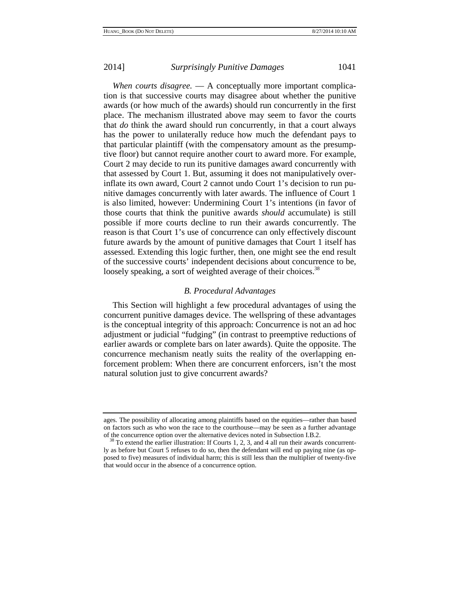*When courts disagree.* — A conceptually more important complication is that successive courts may disagree about whether the punitive awards (or how much of the awards) should run concurrently in the first place. The mechanism illustrated above may seem to favor the courts that *do* think the award should run concurrently, in that a court always has the power to unilaterally reduce how much the defendant pays to that particular plaintiff (with the compensatory amount as the presumptive floor) but cannot require another court to award more. For example, Court 2 may decide to run its punitive damages award concurrently with that assessed by Court 1. But, assuming it does not manipulatively overinflate its own award, Court 2 cannot undo Court 1's decision to run punitive damages concurrently with later awards. The influence of Court 1 is also limited, however: Undermining Court 1's intentions (in favor of those courts that think the punitive awards *should* accumulate) is still possible if more courts decline to run their awards concurrently. The reason is that Court 1's use of concurrence can only effectively discount future awards by the amount of punitive damages that Court 1 itself has assessed. Extending this logic further, then, one might see the end result of the successive courts' independent decisions about concurrence to be, loosely speaking, a sort of weighted average of their choices.<sup>38</sup>

## *B. Procedural Advantages*

This Section will highlight a few procedural advantages of using the concurrent punitive damages device. The wellspring of these advantages is the conceptual integrity of this approach: Concurrence is not an ad hoc adjustment or judicial "fudging" (in contrast to preemptive reductions of earlier awards or complete bars on later awards). Quite the opposite. The concurrence mechanism neatly suits the reality of the overlapping enforcement problem: When there are concurrent enforcers, isn't the most natural solution just to give concurrent awards?

ages. The possibility of allocating among plaintiffs based on the equities—rather than based on factors such as who won the race to the courthouse—may be seen as a further advantage

of the concurrence option over the alternative devices noted in Subsection I.B.2.  $38$  To extend the earlier illustration: If Courts 1, 2, 3, and 4 all run their awards concurrently as before but Court 5 refuses to do so, then the defendant will end up paying nine (as opposed to five) measures of individual harm; this is still less than the multiplier of twenty-five that would occur in the absence of a concurrence option.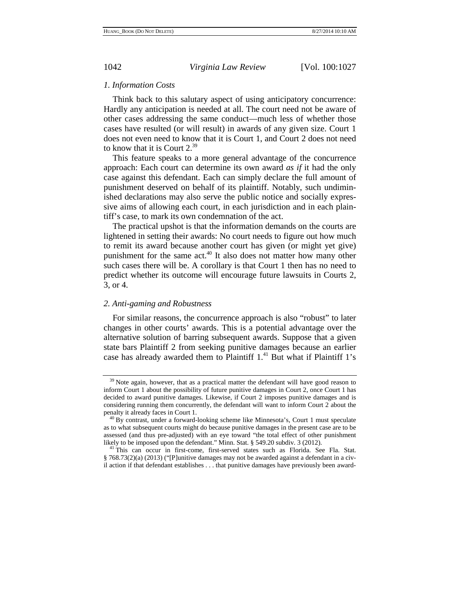## *1. Information Costs*

Think back to this salutary aspect of using anticipatory concurrence: Hardly any anticipation is needed at all. The court need not be aware of other cases addressing the same conduct—much less of whether those cases have resulted (or will result) in awards of any given size. Court 1 does not even need to know that it is Court 1, and Court 2 does not need to know that it is Court 2.39

This feature speaks to a more general advantage of the concurrence approach: Each court can determine its own award *as if* it had the only case against this defendant. Each can simply declare the full amount of punishment deserved on behalf of its plaintiff. Notably, such undiminished declarations may also serve the public notice and socially expressive aims of allowing each court, in each jurisdiction and in each plaintiff's case, to mark its own condemnation of the act.

The practical upshot is that the information demands on the courts are lightened in setting their awards: No court needs to figure out how much to remit its award because another court has given (or might yet give) punishment for the same  $act<sup>40</sup>$  It also does not matter how many other such cases there will be. A corollary is that Court 1 then has no need to predict whether its outcome will encourage future lawsuits in Courts 2, 3, or 4.

## *2. Anti-gaming and Robustness*

For similar reasons, the concurrence approach is also "robust" to later changes in other courts' awards. This is a potential advantage over the alternative solution of barring subsequent awards. Suppose that a given state bars Plaintiff 2 from seeking punitive damages because an earlier case has already awarded them to Plaintiff 1.<sup>41</sup> But what if Plaintiff 1's

<sup>&</sup>lt;sup>39</sup> Note again, however, that as a practical matter the defendant will have good reason to inform Court 1 about the possibility of future punitive damages in Court 2, once Court 1 has decided to award punitive damages. Likewise, if Court 2 imposes punitive damages and is considering running them concurrently, the defendant will want to inform Court 2 about the

 $40$  By contrast, under a forward-looking scheme like Minnesota's, Court 1 must speculate as to what subsequent courts might do because punitive damages in the present case are to be assessed (and thus pre-adjusted) with an eye toward "the total effect of other punishment likely to be imposed upon the defendant." Minn. Stat. § 549.20 subdiv. 3 (2012).

<sup>&</sup>lt;sup>41</sup>This can occur in first-come, first-served states such as Florida. See Fla. Stat. § 768.73(2)(a) (2013) ("[P]unitive damages may not be awarded against a defendant in a civil action if that defendant establishes . . . that punitive damages have previously been award-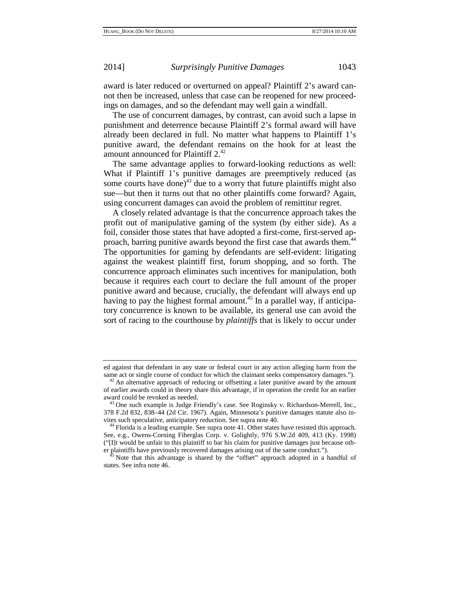award is later reduced or overturned on appeal? Plaintiff 2's award cannot then be increased, unless that case can be reopened for new proceedings on damages, and so the defendant may well gain a windfall.

The use of concurrent damages, by contrast, can avoid such a lapse in punishment and deterrence because Plaintiff 2's formal award will have already been declared in full. No matter what happens to Plaintiff 1's punitive award, the defendant remains on the hook for at least the amount announced for Plaintiff 2.<sup>42</sup>

The same advantage applies to forward-looking reductions as well: What if Plaintiff 1's punitive damages are preemptively reduced (as some courts have done $j^{43}$  due to a worry that future plaintiffs might also sue—but then it turns out that no other plaintiffs come forward? Again, using concurrent damages can avoid the problem of remittitur regret.

A closely related advantage is that the concurrence approach takes the profit out of manipulative gaming of the system (by either side). As a foil, consider those states that have adopted a first-come, first-served approach, barring punitive awards beyond the first case that awards them.<sup>44</sup> The opportunities for gaming by defendants are self-evident: litigating against the weakest plaintiff first, forum shopping, and so forth. The concurrence approach eliminates such incentives for manipulation, both because it requires each court to declare the full amount of the proper punitive award and because, crucially, the defendant will always end up having to pay the highest formal amount.<sup>45</sup> In a parallel way, if anticipatory concurrence is known to be available, its general use can avoid the sort of racing to the courthouse by *plaintiffs* that is likely to occur under

ed against that defendant in any state or federal court in any action alleging harm from the same act or single course of conduct for which the claimant seeks compensatory damages."). <sup>42</sup> An alternative approach of reducing or offsetting a later punitive award by the amount

of earlier awards could in theory share this advantage, if in operation the credit for an earlier

 $43$  One such example is Judge Friendly's case. See Roginsky v. Richardson-Merrell, Inc., 378 F.2d 832, 838–44 (2d Cir. 1967). Again, Minnesota's punitive damages statute also invites such speculative, anticipatory reduction. See supra note 40. 44 Florida is a leading example. See supra note 41. Other states have resisted this approach.

See, e.g., Owens-Corning Fiberglas Corp. v. Golightly, 976 S.W.2d 409, 413 (Ky. 1998) ("[I]t would be unfair to this plaintiff to bar his claim for punitive damages just because oth-

er plaintiffs have previously recovered damages arising out of the same conduct."). 45 Note that this advantage is shared by the "offset" approach adopted in a handful of states. See infra note 46.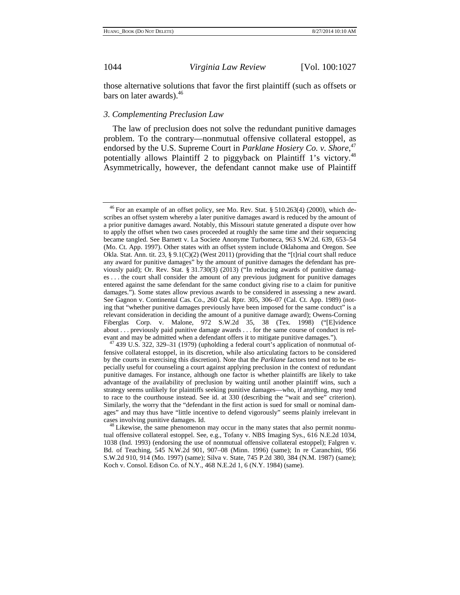those alternative solutions that favor the first plaintiff (such as offsets or bars on later awards).<sup>46</sup>

## *3. Complementing Preclusion Law*

The law of preclusion does not solve the redundant punitive damages problem. To the contrary—nonmutual offensive collateral estoppel, as endorsed by the U.S. Supreme Court in *Parklane Hosiery Co. v. Shore*, 47 potentially allows Plaintiff 2 to piggyback on Plaintiff 1's victory.<sup>48</sup> Asymmetrically, however, the defendant cannot make use of Plaintiff

 $46$  For an example of an offset policy, see Mo. Rev. Stat. § 510.263(4) (2000), which describes an offset system whereby a later punitive damages award is reduced by the amount of a prior punitive damages award. Notably, this Missouri statute generated a dispute over how to apply the offset when two cases proceeded at roughly the same time and their sequencing became tangled. See Barnett v. La Societe Anonyme Turbomeca, 963 S.W.2d. 639, 653–54 (Mo. Ct. App. 1997). Other states with an offset system include Oklahoma and Oregon. See Okla. Stat. Ann. tit. 23, § 9.1(C)(2) (West 2011) (providing that the "[t]rial court shall reduce any award for punitive damages" by the amount of punitive damages the defendant has previously paid); Or. Rev. Stat. § 31.730(3) (2013) ("In reducing awards of punitive damages . . . the court shall consider the amount of any previous judgment for punitive damages entered against the same defendant for the same conduct giving rise to a claim for punitive damages."). Some states allow previous awards to be considered in assessing a new award. See Gagnon v. Continental Cas. Co., 260 Cal. Rptr. 305, 306–07 (Cal. Ct. App. 1989) (noting that "whether punitive damages previously have been imposed for the same conduct" is a relevant consideration in deciding the amount of a punitive damage award); Owens-Corning Fiberglas Corp. v. Malone, 972 S.W.2d 35, 38 (Tex. 1998) ("[E]vidence about . . . previously paid punitive damage awards . . . for the same course of conduct is rel-

evant and may be admitted when a defendant offers it to mitigate punitive damages.").<br><sup>47</sup> 439 U.S. 322, 329–31 (1979) (upholding a federal court's application of nonmutual offensive collateral estoppel, in its discretion, while also articulating factors to be considered by the courts in exercising this discretion). Note that the *Parklane* factors tend not to be especially useful for counseling a court against applying preclusion in the context of redundant punitive damages. For instance, although one factor is whether plaintiffs are likely to take advantage of the availability of preclusion by waiting until another plaintiff wins, such a strategy seems unlikely for plaintiffs seeking punitive damages—who, if anything, may tend to race to the courthouse instead. See id. at 330 (describing the "wait and see" criterion). Similarly, the worry that the "defendant in the first action is sued for small or nominal damages" and may thus have "little incentive to defend vigorously" seems plainly irrelevant in cases involving punitive damages. Id. 48 Likewise, the same phenomenon may occur in the many states that also permit nonmu-

tual offensive collateral estoppel. See, e.g., Tofany v. NBS Imaging Sys., 616 N.E.2d 1034, 1038 (Ind. 1993) (endorsing the use of nonmutual offensive collateral estoppel); Falgren v. Bd. of Teaching, 545 N.W.2d 901, 907–08 (Minn. 1996) (same); In re Caranchini, 956 S.W.2d 910, 914 (Mo. 1997) (same); Silva v. State, 745 P.2d 380, 384 (N.M. 1987) (same); Koch v. Consol. Edison Co. of N.Y., 468 N.E.2d 1, 6 (N.Y. 1984) (same).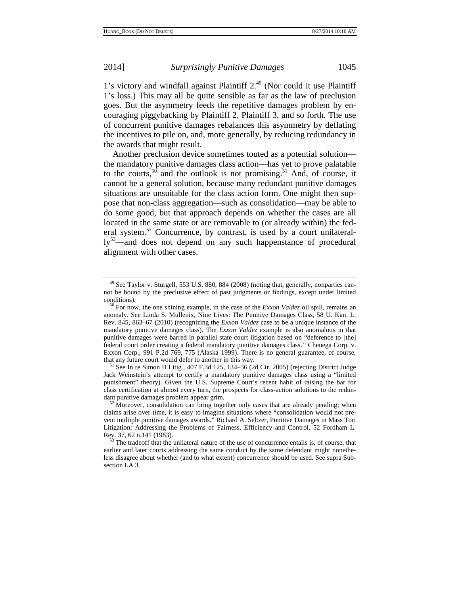1's victory and windfall against Plaintiff  $2<sup>49</sup>$  (Nor could it use Plaintiff 1's loss.) This may all be quite sensible as far as the law of preclusion goes. But the asymmetry feeds the repetitive damages problem by encouraging piggybacking by Plaintiff 2, Plaintiff 3, and so forth. The use of concurrent punitive damages rebalances this asymmetry by deflating the incentives to pile on, and, more generally, by reducing redundancy in the awards that might result.

Another preclusion device sometimes touted as a potential solution the mandatory punitive damages class action—has yet to prove palatable to the courts,<sup>50</sup> and the outlook is not promising.<sup>51</sup> And, of course, it cannot be a general solution, because many redundant punitive damages situations are unsuitable for the class action form. One might then suppose that non-class aggregation—such as consolidation—may be able to do some good, but that approach depends on whether the cases are all located in the same state or are removable to (or already within) the federal system.<sup>52</sup> Concurrence, by contrast, is used by a court unilaterally<sup>53</sup>—and does not depend on any such happenstance of procedural alignment with other cases.

Jack Weinstein's attempt to certify a mandatory punitive damages class using a "limited punishment" theory). Given the U.S. Supreme Court's recent habit of raising the bar for class certification at almost every turn, the prospects for class-action solutions to the redun-<br>dant punitive damages problem appear grim.

 $49$  See Taylor v. Sturgell, 553 U.S. 880, 884 (2008) (noting that, generally, nonparties cannot be bound by the preclusive effect of past judgments or findings, except under limited conditions). 50 For now, the one shining example, in the case of the *Exxon Valdez* oil spill, remains an

anomaly. See Linda S. Mullenix, Nine Lives: The Punitive Damages Class, 58 U. Kan. L. Rev. 845, 863–67 (2010) (recognizing the *Exxon Valdez* case to be a unique instance of the mandatory punitive damages class). The *Exxon Valdez* example is also anomalous in that punitive damages were barred in parallel state court litigation based on "deference to [the] federal court order creating a federal mandatory punitive damages class.*"* Chenega Corp. v. Exxon Corp., 991 P.2d 769, 775 (Alaska 1999). There is no general guarantee, of course, that any future court would defer to another in this way.<br><sup>51</sup> See In re Simon II Litig., 407 F.3d 125, 134–36 (2d Cir. 2005) (rejecting District Judge

 $52$  Moreover, consolidation can bring together only cases that are already pending; when claims arise over time, it is easy to imagine situations where "consolidation would not prevent multiple punitive damages awards." Richard A. Seltzer, Punitive Damages in Mass Tort Litigation: Addressing the Problems of Fairness, Efficiency and Control, 52 Fordham L. Rev. 37, 62 n.141 (1983).

 $<sup>53</sup>$  The tradeoff that the unilateral nature of the use of concurrence entails is, of course, that</sup> earlier and later courts addressing the same conduct by the same defendant might nonetheless disagree about whether (and to what extent) concurrence should be used. See supra Subsection I.A.3.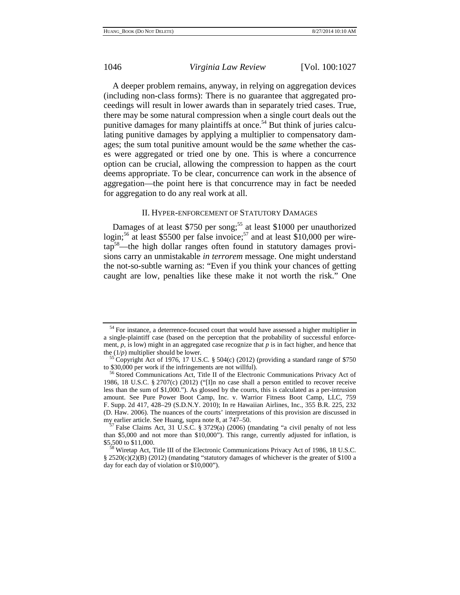A deeper problem remains, anyway, in relying on aggregation devices (including non-class forms): There is no guarantee that aggregated proceedings will result in lower awards than in separately tried cases. True, there may be some natural compression when a single court deals out the punitive damages for many plaintiffs at once.<sup>54</sup> But think of juries calculating punitive damages by applying a multiplier to compensatory damages; the sum total punitive amount would be the *same* whether the cases were aggregated or tried one by one. This is where a concurrence option can be crucial, allowing the compression to happen as the court deems appropriate. To be clear, concurrence can work in the absence of aggregation—the point here is that concurrence may in fact be needed for aggregation to do any real work at all.

## II. HYPER-ENFORCEMENT OF STATUTORY DAMAGES

Damages of at least \$750 per song;<sup>55</sup> at least \$1000 per unauthorized login;<sup>56</sup> at least \$5500 per false invoice;<sup>57</sup> and at least \$10,000 per wiretap58—the high dollar ranges often found in statutory damages provisions carry an unmistakable *in terrorem* message. One might understand the not-so-subtle warning as: "Even if you think your chances of getting caught are low, penalties like these make it not worth the risk." One

 $54$  For instance, a deterrence-focused court that would have assessed a higher multiplier in a single-plaintiff case (based on the perception that the probability of successful enforcement,  $p$ , is low) might in an aggregated case recognize that  $p$  is in fact higher, and hence that

the  $(1/p)$  multiplier should be lower.<br><sup>55</sup> Copyright Act of 1976, 17 U.S.C. § 504(c) (2012) (providing a standard range of \$750 to \$30,000 per work if the infringements are not willful).

<sup>&</sup>lt;sup>56</sup> Stored Communications Act, Title II of the Electronic Communications Privacy Act of 1986, 18 U.S.C. § 2707(c) (2012) ("[I]n no case shall a person entitled to recover receive less than the sum of \$1,000."). As glossed by the courts, this is calculated as a per-intrusion amount. See Pure Power Boot Camp, Inc. v. Warrior Fitness Boot Camp, LLC, 759 F. Supp. 2d 417, 428–29 (S.D.N.Y. 2010); In re Hawaiian Airlines, Inc., 355 B.R. 225, 232 (D. Haw. 2006). The nuances of the courts' interpretations of this provision are discussed in my earlier article. See Huang, supra note 8, at 747–50.<br><sup>57</sup> False Claims Act, 31 U.S.C. § 3729(a) (2006) (mandating "a civil penalty of not less

than \$5,000 and not more than \$10,000"). This range, currently adjusted for inflation, is \$5,500 to \$11,000.<br><sup>58</sup> Wiretap Act, Title III of the Electronic Communications Privacy Act of 1986, 18 U.S.C.

<sup>§ 2520(</sup>c)(2)(B) (2012) (mandating "statutory damages of whichever is the greater of \$100 a day for each day of violation or \$10,000").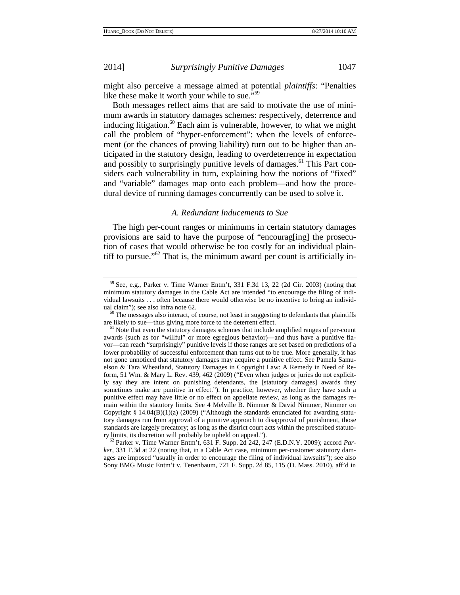might also perceive a message aimed at potential *plaintiffs*: "Penalties like these make it worth your while to sue."<sup>59</sup>

Both messages reflect aims that are said to motivate the use of minimum awards in statutory damages schemes: respectively, deterrence and inducing litigation. $60$  Each aim is vulnerable, however, to what we might call the problem of "hyper-enforcement": when the levels of enforcement (or the chances of proving liability) turn out to be higher than anticipated in the statutory design, leading to overdeterrence in expectation and possibly to surprisingly punitive levels of damages.<sup>61</sup> This Part considers each vulnerability in turn, explaining how the notions of "fixed" and "variable" damages map onto each problem—and how the procedural device of running damages concurrently can be used to solve it.

## *A. Redundant Inducements to Sue*

The high per-count ranges or minimums in certain statutory damages provisions are said to have the purpose of "encourag[ing] the prosecution of cases that would otherwise be too costly for an individual plaintiff to pursue." $62$  That is, the minimum award per count is artificially in-

<sup>62</sup> Parker v. Time Warner Entm't, 631 F. Supp. 2d 242, 247 (E.D.N.Y. 2009); accord *Parker*, 331 F.3d at 22 (noting that, in a Cable Act case, minimum per-customer statutory damages are imposed "usually in order to encourage the filing of individual lawsuits"); see also Sony BMG Music Entm't v. Tenenbaum, 721 F. Supp. 2d 85, 115 (D. Mass. 2010), aff'd in

<sup>59</sup> See, e.g., Parker v. Time Warner Entm't, 331 F.3d 13, 22 (2d Cir. 2003) (noting that minimum statutory damages in the Cable Act are intended "to encourage the filing of individual lawsuits . . . often because there would otherwise be no incentive to bring an individ-

ual claim"); see also infra note 62.  $\frac{60}{10}$  The messages also interact, of course, not least in suggesting to defendants that plaintiffs are likely to sue—thus giving more force to the deterrent effect.

 $61$  Note that even the statutory damages schemes that include amplified ranges of per-count awards (such as for "willful" or more egregious behavior)—and thus have a punitive flavor—can reach "surprisingly" punitive levels if those ranges are set based on predictions of a lower probability of successful enforcement than turns out to be true. More generally, it has not gone unnoticed that statutory damages may acquire a punitive effect. See Pamela Samuelson & Tara Wheatland, Statutory Damages in Copyright Law: A Remedy in Need of Reform, 51 Wm. & Mary L. Rev. 439, 462 (2009) ("Even when judges or juries do not explicitly say they are intent on punishing defendants, the [statutory damages] awards they sometimes make are punitive in effect."). In practice, however, whether they have such a punitive effect may have little or no effect on appellate review, as long as the damages remain within the statutory limits. See 4 Melville B. Nimmer & David Nimmer, Nimmer on Copyright § 14.04(B)(1)(a) (2009) ("Although the standards enunciated for awarding statutory damages run from approval of a punitive approach to disapproval of punishment, those standards are largely precatory; as long as the district court acts within the prescribed statuto-<br>ry limits, its discretion will probably be upheld on appeal.").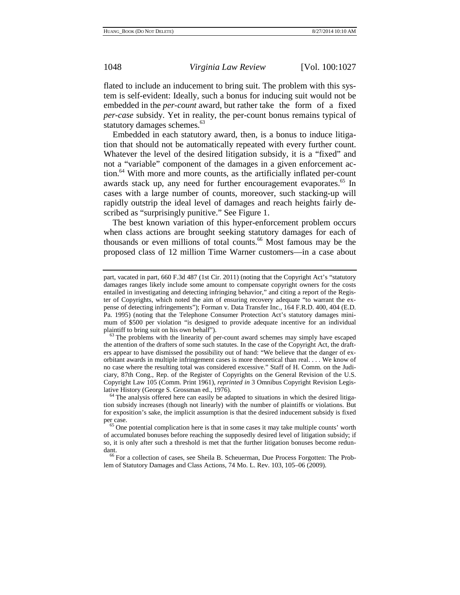flated to include an inducement to bring suit. The problem with this system is self-evident: Ideally, such a bonus for inducing suit would not be embedded in the *per-count* award, but rather take the form of a fixed *per-case* subsidy. Yet in reality, the per-count bonus remains typical of statutory damages schemes.<sup>63</sup>

Embedded in each statutory award, then, is a bonus to induce litigation that should not be automatically repeated with every further count. Whatever the level of the desired litigation subsidy, it is a "fixed" and not a "variable" component of the damages in a given enforcement action.<sup>64</sup> With more and more counts, as the artificially inflated per-count awards stack up, any need for further encouragement evaporates.<sup>65</sup> In cases with a large number of counts, moreover, such stacking-up will rapidly outstrip the ideal level of damages and reach heights fairly described as "surprisingly punitive." See Figure 1.

The best known variation of this hyper-enforcement problem occurs when class actions are brought seeking statutory damages for each of thousands or even millions of total counts.<sup>66</sup> Most famous may be the proposed class of 12 million Time Warner customers—in a case about

part, vacated in part, 660 F.3d 487 (1st Cir. 2011) (noting that the Copyright Act's "statutory damages ranges likely include some amount to compensate copyright owners for the costs entailed in investigating and detecting infringing behavior," and citing a report of the Register of Copyrights, which noted the aim of ensuring recovery adequate "to warrant the expense of detecting infringements"); Forman v. Data Transfer Inc., 164 F.R.D. 400, 404 (E.D. Pa. 1995) (noting that the Telephone Consumer Protection Act's statutory damages minimum of \$500 per violation "is designed to provide adequate incentive for an individual plaintiff to bring suit on his own behalf").

 $63$  The problems with the linearity of per-count award schemes may simply have escaped the attention of the drafters of some such statutes. In the case of the Copyright Act, the drafters appear to have dismissed the possibility out of hand: "We believe that the danger of exorbitant awards in multiple infringement cases is more theoretical than real. . . . We know of no case where the resulting total was considered excessive." Staff of H. Comm. on the Judiciary, 87th Cong., Rep. of the Register of Copyrights on the General Revision of the U.S. Copyright Law 105 (Comm. Print 1961), *reprinted in* 3 Omnibus Copyright Revision Legislative History (George S. Grossman ed., 1976).<br><sup>64</sup> The analysis offered here can easily be adapted to situations in which the desired litiga-

tion subsidy increases (though not linearly) with the number of plaintiffs or violations. But for exposition's sake, the implicit assumption is that the desired inducement subsidy is fixed

 $65$  One potential complication here is that in some cases it may take multiple counts' worth of accumulated bonuses before reaching the supposedly desired level of litigation subsidy; if so, it is only after such a threshold is met that the further litigation bonuses become redundant.<br><sup>66</sup> For a collection of cases, see Sheila B. Scheuerman, Due Process Forgotten: The Prob-

lem of Statutory Damages and Class Actions, 74 Mo. L. Rev. 103, 105–06 (2009).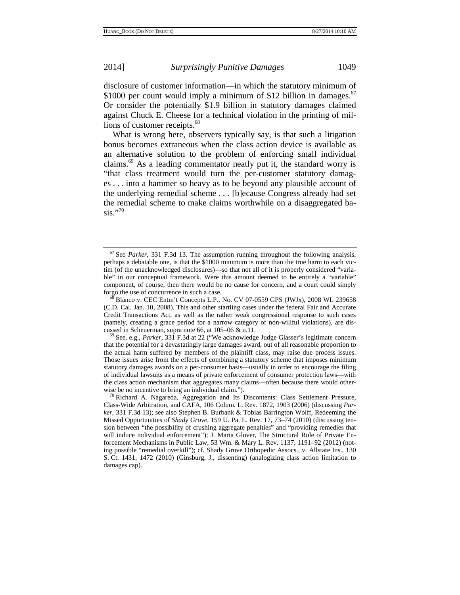disclosure of customer information—in which the statutory minimum of \$1000 per count would imply a minimum of \$12 billion in damages.<sup>67</sup> Or consider the potentially \$1.9 billion in statutory damages claimed against Chuck E. Cheese for a technical violation in the printing of millions of customer receipts.<sup>68</sup>

What is wrong here, observers typically say, is that such a litigation bonus becomes extraneous when the class action device is available as an alternative solution to the problem of enforcing small individual claims.69 As a leading commentator neatly put it, the standard worry is "that class treatment would turn the per-customer statutory damages . . . into a hammer so heavy as to be beyond any plausible account of the underlying remedial scheme . . . [b]ecause Congress already had set the remedial scheme to make claims worthwhile on a disaggregated ba- $\sin$ ."70

<sup>67</sup> See *Parker*, 331 F.3d 13. The assumption running throughout the following analysis, perhaps a debatable one, is that the \$1000 minimum is more than the true harm to each victim (of the unacknowledged disclosures)—so that not all of it is properly considered "variable" in our conceptual framework. Were this amount deemed to be entirely a "variable" component, of course, then there would be no cause for concern, and a court could simply forgo the use of concurrence in such a case.<br><sup>68</sup> Blanco v. CEC Entm't Concepts L.P., No. CV 07-0559 GPS (JWJx), 2008 WL 239658

<sup>(</sup>C.D. Cal. Jan. 10, 2008). This and other startling cases under the federal Fair and Accurate Credit Transactions Act, as well as the rather weak congressional response to such cases (namely, creating a grace period for a narrow category of non-willful violations), are dis-cussed in Scheuerman, supra note 66, at  $105-06$  & n.11.

<sup>&</sup>lt;sup>69</sup> See, e.g., *Parker*, 331 F.3d at 22 ("We acknowledge Judge Glasser's legitimate concern that the potential for a devastatingly large damages award, out of all reasonable proportion to the actual harm suffered by members of the plaintiff class, may raise due process issues. Those issues arise from the effects of combining a statutory scheme that imposes minimum statutory damages awards on a per-consumer basis—usually in order to encourage the filing of individual lawsuits as a means of private enforcement of consumer protection laws—with the class action mechanism that aggregates many claims—often because there would other-

wise be no incentive to bring an individual claim.").  $\frac{70}{10}$  Richard A. Nagareda, Aggregation and Its Discontents: Class Settlement Pressure, Class-Wide Arbitration, and CAFA, 106 Colum. L. Rev. 1872, 1903 (2006) (discussing *Parker*, 331 F.3d 13); see also Stephen B. Burbank & Tobias Barrington Wolff, Redeeming the Missed Opportunities of *Shady Grove*, 159 U. Pa. L. Rev. 17, 73–74 (2010) (discussing tension between "the possibility of crushing aggregate penalties" and "providing remedies that will induce individual enforcement"); J. Maria Glover, The Structural Role of Private Enforcement Mechanisms in Public Law, 53 Wm. & Mary L. Rev. 1137, 1191–92 (2012) (noting possible "remedial overkill"); cf. Shady Grove Orthopedic Assocs., v. Allstate Ins., 130 S. Ct. 1431, 1472 (2010) (Ginsburg, J., dissenting) (analogizing class action limitation to damages cap).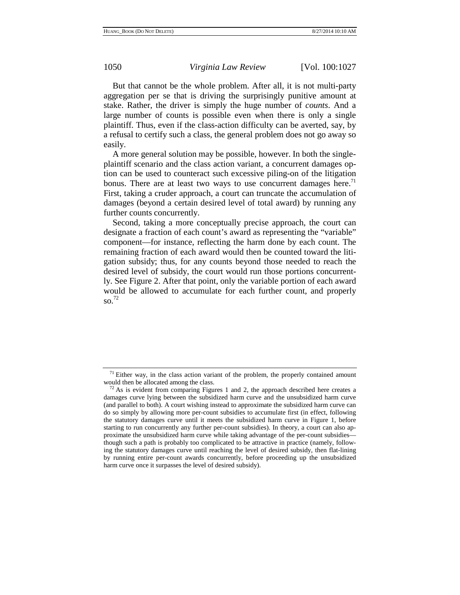But that cannot be the whole problem. After all, it is not multi-party aggregation per se that is driving the surprisingly punitive amount at stake. Rather, the driver is simply the huge number of *counts*. And a large number of counts is possible even when there is only a single plaintiff. Thus, even if the class-action difficulty can be averted, say, by a refusal to certify such a class, the general problem does not go away so easily.

A more general solution may be possible, however. In both the singleplaintiff scenario and the class action variant, a concurrent damages option can be used to counteract such excessive piling-on of the litigation bonus. There are at least two ways to use concurrent damages here.<sup>71</sup> First, taking a cruder approach, a court can truncate the accumulation of damages (beyond a certain desired level of total award) by running any further counts concurrently.

Second, taking a more conceptually precise approach, the court can designate a fraction of each count's award as representing the "variable" component—for instance, reflecting the harm done by each count. The remaining fraction of each award would then be counted toward the litigation subsidy; thus, for any counts beyond those needed to reach the desired level of subsidy, the court would run those portions concurrently. See Figure 2. After that point, only the variable portion of each award would be allowed to accumulate for each further count, and properly so.72

 $71$  Either way, in the class action variant of the problem, the properly contained amount would then be allocated among the class.<br><sup>72</sup> As is evident from comparing Figures 1 and 2, the approach described here creates a

damages curve lying between the subsidized harm curve and the unsubsidized harm curve (and parallel to both). A court wishing instead to approximate the subsidized harm curve can do so simply by allowing more per-count subsidies to accumulate first (in effect, following the statutory damages curve until it meets the subsidized harm curve in Figure 1, before starting to run concurrently any further per-count subsidies). In theory, a court can also approximate the unsubsidized harm curve while taking advantage of the per-count subsidies though such a path is probably too complicated to be attractive in practice (namely, following the statutory damages curve until reaching the level of desired subsidy, then flat-lining by running entire per-count awards concurrently, before proceeding up the unsubsidized harm curve once it surpasses the level of desired subsidy).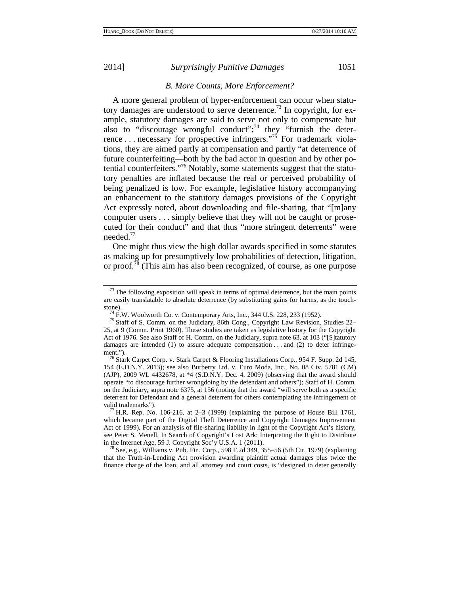# *B. More Counts, More Enforcement?*

A more general problem of hyper-enforcement can occur when statutory damages are understood to serve deterrence.<sup>73</sup> In copyright, for example, statutory damages are said to serve not only to compensate but also to "discourage wrongful conduct";<sup>74</sup> they "furnish the deterrence ... necessary for prospective infringers."<sup>75</sup> For trademark violations, they are aimed partly at compensation and partly "at deterrence of future counterfeiting—both by the bad actor in question and by other potential counterfeiters."76 Notably, some statements suggest that the statutory penalties are inflated because the real or perceived probability of being penalized is low. For example, legislative history accompanying an enhancement to the statutory damages provisions of the Copyright Act expressly noted, about downloading and file-sharing, that "[m]any computer users . . . simply believe that they will not be caught or prosecuted for their conduct" and that thus "more stringent deterrents" were needed. $77$ 

One might thus view the high dollar awards specified in some statutes as making up for presumptively low probabilities of detection, litigation, or proof.78 (This aim has also been recognized, of course, as one purpose

 $^{78}$  See, e.g., Williams v. Pub. Fin. Corp., 598 F.2d 349, 355–56 (5th Cir. 1979) (explaining that the Truth-in-Lending Act provision awarding plaintiff actual damages plus twice the finance charge of the loan, and all attorney and court costs, is "designed to deter generally

 $73$  The following exposition will speak in terms of optimal deterrence, but the main points are easily translatable to absolute deterrence (by substituting gains for harms, as the touch-

stone).<br><sup>74</sup> F.W. Woolworth Co. v. Contemporary Arts, Inc., 344 U.S. 228, 233 (1952).<br><sup>75</sup> Staff of S. Comm. on the Judiciary, 86th Cong., Copyright Law Revision, Studies 22– 25, at 9 (Comm. Print 1960). These studies are taken as legislative history for the Copyright Act of 1976. See also Staff of H. Comm. on the Judiciary, supra note 63, at 103 ("[S]tatutory damages are intended (1) to assure adequate compensation  $\dots$  and (2) to deter infringe-

ment.").<br><sup>76</sup> Stark Carpet Corp. v. Stark Carpet & Flooring Installations Corp., 954 F. Supp. 2d 145, 154 (E.D.N.Y. 2013); see also Burberry Ltd. v. Euro Moda, Inc., No. 08 Civ. 5781 (CM) (AJP), 2009 WL 4432678, at \*4 (S.D.N.Y. Dec. 4, 2009) (observing that the award should operate "to discourage further wrongdoing by the defendant and others"); Staff of H. Comm. on the Judiciary, supra note 6375, at 156 (noting that the award "will serve both as a specific deterrent for Defendant and a general deterrent for others contemplating the infringement of valid trademarks").  $^{77}$  H.R. Rep. No. 106-216, at 2–3 (1999) (explaining the purpose of House Bill 1761,

which became part of the Digital Theft Deterrence and Copyright Damages Improvement Act of 1999). For an analysis of file-sharing liability in light of the Copyright Act's history, see Peter S. Menell, In Search of Copyright's Lost Ark: Interpreting the Right to Distribute in the Internet Age, 59 J. Copyright Soc'y U.S.A. 1 (2011).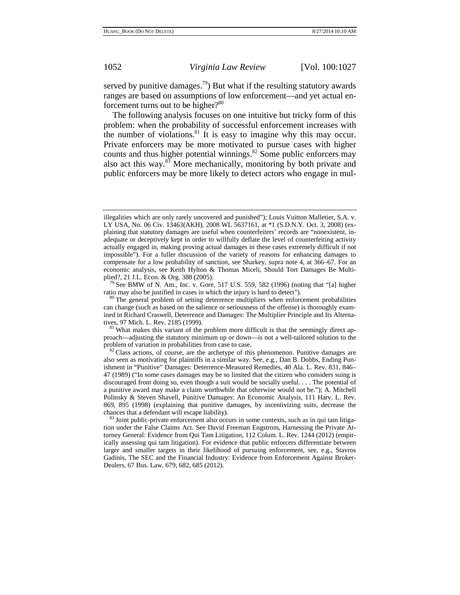served by punitive damages.<sup>79</sup>) But what if the resulting statutory awards ranges are based on assumptions of low enforcement—and yet actual enforcement turns out to be higher? $80^\circ$ 

The following analysis focuses on one intuitive but tricky form of this problem: when the probability of successful enforcement increases with the number of violations.<sup>81</sup> It is easy to imagine why this may occur. Private enforcers may be more motivated to pursue cases with higher counts and thus higher potential winnings.<sup>82</sup> Some public enforcers may also act this way.83 More mechanically, monitoring by both private and public enforcers may be more likely to detect actors who engage in mul-

ratio may also be justified in cases in which the injury is hard to detect").<br><sup>80</sup> The general problem of setting deterrence multipliers when enforcement probabilities

illegalities which are only rarely uncovered and punished"); Louis Vuitton Malletier, S.A. v. LY USA, No. 06 Civ. 13463(AKH), 2008 WL 5637161, at \*1 (S.D.N.Y. Oct. 3, 2008) (explaining that statutory damages are useful when counterfeiters' records are "nonexistent, inadequate or deceptively kept in order to willfully deflate the level of counterfeiting activity actually engaged in, making proving actual damages in these cases extremely difficult if not impossible"). For a fuller discussion of the variety of reasons for enhancing damages to compensate for a low probability of sanction, see Sharkey, supra note 4, at 366–67. For an economic analysis, see Keith Hylton & Thomas Miceli, Should Tort Damages Be Multiplied?, 21 J.L. Econ. & Org. 388 (2005).<br><sup>79</sup> See BMW of N. Am., Inc. v. Gore, 517 U.S. 559, 582 (1996) (noting that "[a] higher

can change (such as based on the salience or seriousness of the offense) is thoroughly examined in Richard Craswell, Deterrence and Damages: The Multiplier Principle and Its Alternatives, 97 Mich. L. Rev. 2185 (1999).<br><sup>81</sup> What makes this variant of the problem more difficult is that the seemingly direct ap-

proach—adjusting the statutory minimum up or down—is not a well-tailored solution to the

problem of variation in probabilities from case to case.<br><sup>82</sup> Class actions, of course, are the archetype of this phenomenon. Punitive damages are also seen as motivating for plaintiffs in a similar way. See, e.g., Dan B. Dobbs, Ending Punishment in "Punitive" Damages: Deterrence-Measured Remedies, 40 Ala. L. Rev. 831, 846– 47 (1989) ("In some cases damages may be so limited that the citizen who considers suing is discouraged from doing so, even though a suit would be socially useful. . . . The potential of a punitive award may make a claim worthwhile that otherwise would not be."); A. Mitchell Polinsky & Steven Shavell, Punitive Damages: An Economic Analysis, 111 Harv. L. Rev. 869, 895 (1998) (explaining that punitive damages, by incentivizing suits, decrease the

<sup>&</sup>lt;sup>83</sup> Joint public-private enforcement also occurs in some contexts, such as in qui tam litigation under the False Claims Act. See David Freeman Engstrom, Harnessing the Private Attorney General: Evidence from Qui Tam Litigation, 112 Colum. L. Rev. 1244 (2012) (empirically assessing qui tam litigation). For evidence that public enforcers differentiate between larger and smaller targets in their likelihood of pursuing enforcement, see, e.g., Stavros Gadinis, The SEC and the Financial Industry: Evidence from Enforcement Against Broker-Dealers, 67 Bus. Law. 679, 682, 685 (2012).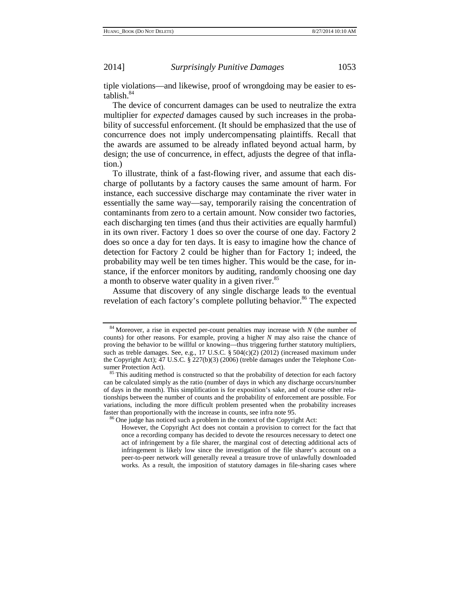tiple violations—and likewise, proof of wrongdoing may be easier to establish.84

The device of concurrent damages can be used to neutralize the extra multiplier for *expected* damages caused by such increases in the probability of successful enforcement. (It should be emphasized that the use of concurrence does not imply undercompensating plaintiffs. Recall that the awards are assumed to be already inflated beyond actual harm, by design; the use of concurrence, in effect, adjusts the degree of that inflation.)

To illustrate, think of a fast-flowing river, and assume that each discharge of pollutants by a factory causes the same amount of harm. For instance, each successive discharge may contaminate the river water in essentially the same way—say, temporarily raising the concentration of contaminants from zero to a certain amount. Now consider two factories, each discharging ten times (and thus their activities are equally harmful) in its own river. Factory 1 does so over the course of one day. Factory 2 does so once a day for ten days. It is easy to imagine how the chance of detection for Factory 2 could be higher than for Factory 1; indeed, the probability may well be ten times higher. This would be the case, for instance, if the enforcer monitors by auditing, randomly choosing one day a month to observe water quality in a given river.<sup>85</sup>

Assume that discovery of any single discharge leads to the eventual revelation of each factory's complete polluting behavior.<sup>86</sup> The expected

<sup>84</sup> Moreover, a rise in expected per-count penalties may increase with *N* (the number of counts) for other reasons. For example, proving a higher *N* may also raise the chance of proving the behavior to be willful or knowing—thus triggering further statutory multipliers, such as treble damages. See, e.g., 17 U.S.C. § 504(c)(2) (2012) (increased maximum under the Copyright Act); 47 U.S.C. § 227(b)(3) (2006) (treble damages under the Telephone Con-

<sup>&</sup>lt;sup>85</sup> This auditing method is constructed so that the probability of detection for each factory can be calculated simply as the ratio (number of days in which any discharge occurs/number of days in the month). This simplification is for exposition's sake, and of course other relationships between the number of counts and the probability of enforcement are possible. For variations, including the more difficult problem presented when the probability increases faster than proportionally with the increase in counts, see infra note 95.

 $66$  One judge has noticed such a problem in the context of the Copyright Act:

However, the Copyright Act does not contain a provision to correct for the fact that once a recording company has decided to devote the resources necessary to detect one act of infringement by a file sharer, the marginal cost of detecting additional acts of infringement is likely low since the investigation of the file sharer's account on a peer-to-peer network will generally reveal a treasure trove of unlawfully downloaded works. As a result, the imposition of statutory damages in file-sharing cases where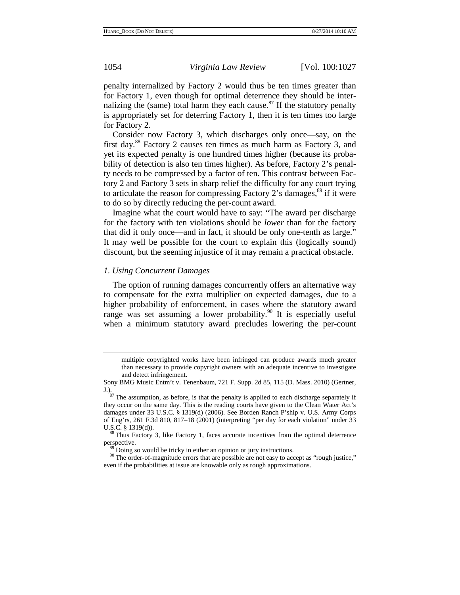penalty internalized by Factory 2 would thus be ten times greater than for Factory 1, even though for optimal deterrence they should be internalizing the (same) total harm they each cause. $87$  If the statutory penalty is appropriately set for deterring Factory 1, then it is ten times too large for Factory 2.

Consider now Factory 3, which discharges only once—say, on the first day.88 Factory 2 causes ten times as much harm as Factory 3, and yet its expected penalty is one hundred times higher (because its probability of detection is also ten times higher). As before, Factory 2's penalty needs to be compressed by a factor of ten. This contrast between Factory 2 and Factory 3 sets in sharp relief the difficulty for any court trying to articulate the reason for compressing Factory 2's damages, $89$  if it were to do so by directly reducing the per-count award.

Imagine what the court would have to say: "The award per discharge for the factory with ten violations should be *lower* than for the factory that did it only once—and in fact, it should be only one-tenth as large." It may well be possible for the court to explain this (logically sound) discount, but the seeming injustice of it may remain a practical obstacle.

## *1. Using Concurrent Damages*

The option of running damages concurrently offers an alternative way to compensate for the extra multiplier on expected damages, due to a higher probability of enforcement, in cases where the statutory award range was set assuming a lower probability.<sup>90</sup> It is especially useful when a minimum statutory award precludes lowering the per-count

multiple copyrighted works have been infringed can produce awards much greater than necessary to provide copyright owners with an adequate incentive to investigate and detect infringement.

Sony BMG Music Entm't v. Tenenbaum, 721 F. Supp. 2d 85, 115 (D. Mass. 2010) (Gertner,

J.).  $\frac{87}{2}$  The assumption, as before, is that the penalty is applied to each discharge separately if they occur on the same day. This is the reading courts have given to the Clean Water Act's damages under 33 U.S.C. § 1319(d) (2006). See Borden Ranch P'ship v. U.S. Army Corps of Eng'rs, 261 F.3d 810, 817–18 (2001) (interpreting "per day for each violation" under 33

U.S.C. § 1319(d)). <sup>88</sup> Thus Factory 3, like Factory 1, faces accurate incentives from the optimal deterrence perspective.

 $^{89}$  Doing so would be tricky in either an opinion or jury instructions.<br><sup>90</sup> The order-of-magnitude errors that are possible are not easy to accept as "rough justice," even if the probabilities at issue are knowable only as rough approximations.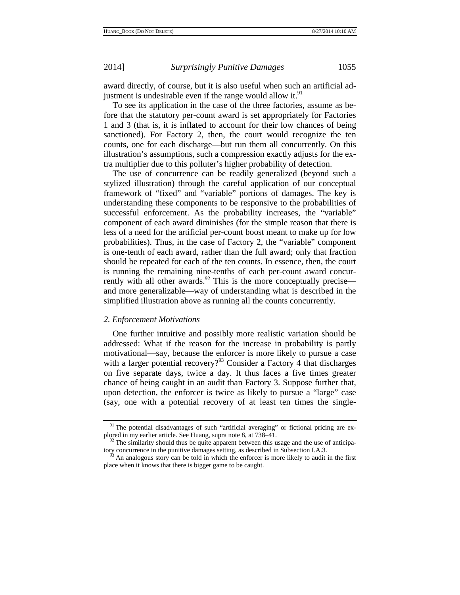award directly, of course, but it is also useful when such an artificial adjustment is undesirable even if the range would allow it. $91$ 

To see its application in the case of the three factories, assume as before that the statutory per-count award is set appropriately for Factories 1 and 3 (that is, it is inflated to account for their low chances of being sanctioned). For Factory 2, then, the court would recognize the ten counts, one for each discharge—but run them all concurrently. On this illustration's assumptions, such a compression exactly adjusts for the extra multiplier due to this polluter's higher probability of detection.

The use of concurrence can be readily generalized (beyond such a stylized illustration) through the careful application of our conceptual framework of "fixed" and "variable" portions of damages. The key is understanding these components to be responsive to the probabilities of successful enforcement. As the probability increases, the "variable" component of each award diminishes (for the simple reason that there is less of a need for the artificial per-count boost meant to make up for low probabilities). Thus, in the case of Factory 2, the "variable" component is one-tenth of each award, rather than the full award; only that fraction should be repeated for each of the ten counts. In essence, then, the court is running the remaining nine-tenths of each per-count award concurrently with all other awards. $92$  This is the more conceptually precise and more generalizable—way of understanding what is described in the simplified illustration above as running all the counts concurrently.

## *2. Enforcement Motivations*

One further intuitive and possibly more realistic variation should be addressed: What if the reason for the increase in probability is partly motivational—say, because the enforcer is more likely to pursue a case with a larger potential recovery?<sup>93</sup> Consider a Factory 4 that discharges on five separate days, twice a day. It thus faces a five times greater chance of being caught in an audit than Factory 3. Suppose further that, upon detection, the enforcer is twice as likely to pursue a "large" case (say, one with a potential recovery of at least ten times the single-

<sup>&</sup>lt;sup>91</sup> The potential disadvantages of such "artificial averaging" or fictional pricing are ex-<br>plored in my earlier article. See Huang, supra note 8, at  $738-41$ .

 $92$  The similarity should thus be quite apparent between this usage and the use of anticipatory concurrence in the punitive damages setting, as described in Subsection I.A.3. <sup>93</sup> An analogous story can be told in which the enforcer is more likely to audit in the first

place when it knows that there is bigger game to be caught.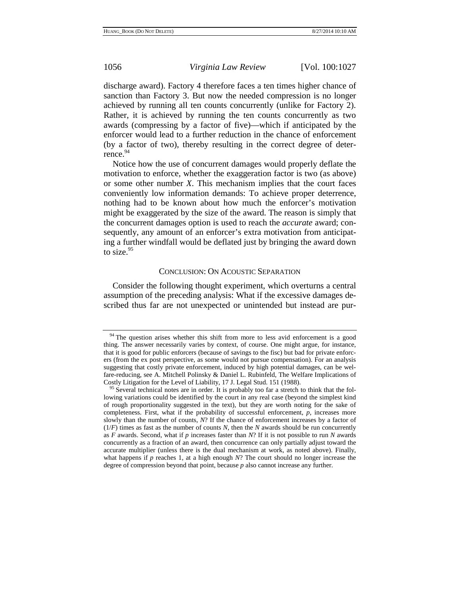discharge award). Factory 4 therefore faces a ten times higher chance of sanction than Factory 3. But now the needed compression is no longer achieved by running all ten counts concurrently (unlike for Factory 2). Rather, it is achieved by running the ten counts concurrently as two awards (compressing by a factor of five)—which if anticipated by the enforcer would lead to a further reduction in the chance of enforcement (by a factor of two), thereby resulting in the correct degree of deterrence.<sup>94</sup>

Notice how the use of concurrent damages would properly deflate the motivation to enforce, whether the exaggeration factor is two (as above) or some other number *X*. This mechanism implies that the court faces conveniently low information demands: To achieve proper deterrence, nothing had to be known about how much the enforcer's motivation might be exaggerated by the size of the award. The reason is simply that the concurrent damages option is used to reach the *accurate* award; consequently, any amount of an enforcer's extra motivation from anticipating a further windfall would be deflated just by bringing the award down to size. $95$ 

## CONCLUSION: ON ACOUSTIC SEPARATION

Consider the following thought experiment, which overturns a central assumption of the preceding analysis: What if the excessive damages described thus far are not unexpected or unintended but instead are pur-

 $94$  The question arises whether this shift from more to less avid enforcement is a good thing. The answer necessarily varies by context, of course. One might argue, for instance, that it is good for public enforcers (because of savings to the fisc) but bad for private enforcers (from the ex post perspective, as some would not pursue compensation). For an analysis suggesting that costly private enforcement, induced by high potential damages, can be welfare-reducing, see A. Mitchell Polinsky & Daniel L. Rubinfeld, The Welfare Implications of Costly Litigation for the Level of Liability, 17 J. Legal Stud. 151 (1988). <sup>95</sup> Several technical notes are in order. It is probably too far a stretch to think that the fol-

lowing variations could be identified by the court in any real case (beyond the simplest kind of rough proportionality suggested in the text), but they are worth noting for the sake of completeness. First, what if the probability of successful enforcement, *p*, increases more slowly than the number of counts, *N*? If the chance of enforcement increases by a factor of  $(1/F)$  times as fast as the number of counts *N*, then the *N* awards should be run concurrently as *F* awards. Second, what if *p* increases faster than *N*? If it is not possible to run *N* awards concurrently as a fraction of an award, then concurrence can only partially adjust toward the accurate multiplier (unless there is the dual mechanism at work, as noted above). Finally, what happens if *p* reaches 1, at a high enough *N*? The court should no longer increase the degree of compression beyond that point, because *p* also cannot increase any further.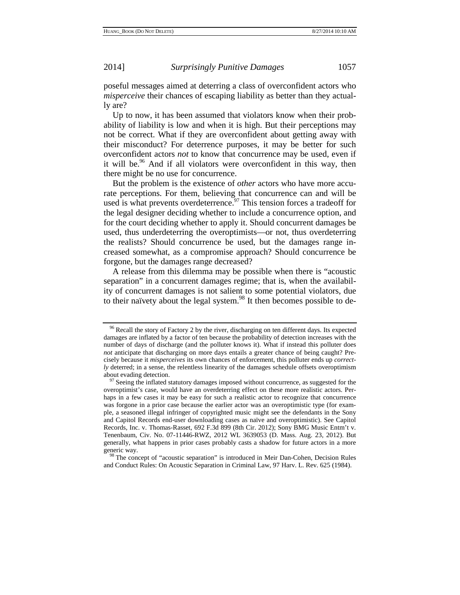poseful messages aimed at deterring a class of overconfident actors who *misperceive* their chances of escaping liability as better than they actually are?

Up to now, it has been assumed that violators know when their probability of liability is low and when it is high. But their perceptions may not be correct. What if they are overconfident about getting away with their misconduct? For deterrence purposes, it may be better for such overconfident actors *not* to know that concurrence may be used, even if it will be.<sup>96</sup> And if all violators were overconfident in this way, then there might be no use for concurrence.

But the problem is the existence of *other* actors who have more accurate perceptions. For them, believing that concurrence can and will be used is what prevents overdeterrence.<sup>97</sup> This tension forces a tradeoff for the legal designer deciding whether to include a concurrence option, and for the court deciding whether to apply it. Should concurrent damages be used, thus underdeterring the overoptimists—or not, thus overdeterring the realists? Should concurrence be used, but the damages range increased somewhat, as a compromise approach? Should concurrence be forgone, but the damages range decreased?

A release from this dilemma may be possible when there is "acoustic separation" in a concurrent damages regime; that is, when the availability of concurrent damages is not salient to some potential violators, due to their naïvety about the legal system.<sup>98</sup> It then becomes possible to de-

 $96$  Recall the story of Factory 2 by the river, discharging on ten different days. Its expected damages are inflated by a factor of ten because the probability of detection increases with the number of days of discharge (and the polluter knows it). What if instead this polluter does *not* anticipate that discharging on more days entails a greater chance of being caught? Precisely because it *misperceives* its own chances of enforcement, this polluter ends up *correctly* deterred; in a sense, the relentless linearity of the damages schedule offsets overoptimism about evading detection.<br><sup>97</sup> Seeing the inflated statutory damages imposed without concurrence, as suggested for the

overoptimist's case, would have an overdeterring effect on these more realistic actors. Perhaps in a few cases it may be easy for such a realistic actor to recognize that concurrence was forgone in a prior case because the earlier actor was an overoptimistic type (for example, a seasoned illegal infringer of copyrighted music might see the defendants in the Sony and Capitol Records end-user downloading cases as naïve and overoptimistic). See Capitol Records, Inc. v. Thomas-Rasset, 692 F.3d 899 (8th Cir. 2012); Sony BMG Music Entm't v. Tenenbaum, Civ. No. 07-11446-RWZ, 2012 WL 3639053 (D. Mass. Aug. 23, 2012). But generally, what happens in prior cases probably casts a shadow for future actors in a more

<sup>&</sup>lt;sup>98</sup> The concept of "acoustic separation" is introduced in Meir Dan-Cohen, Decision Rules and Conduct Rules: On Acoustic Separation in Criminal Law, 97 Harv. L. Rev. 625 (1984).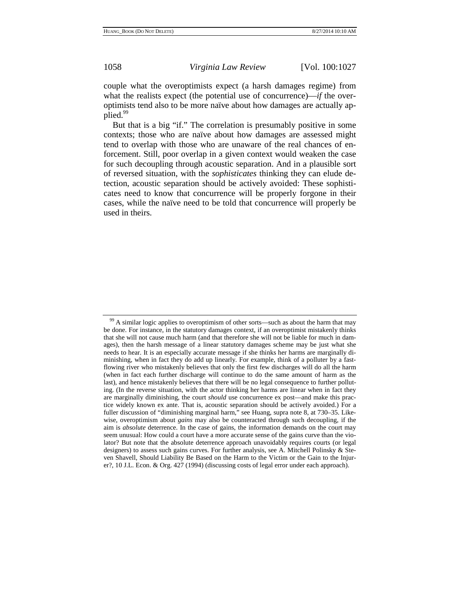couple what the overoptimists expect (a harsh damages regime) from what the realists expect (the potential use of concurrence)—*if* the overoptimists tend also to be more naïve about how damages are actually applied.<sup>99</sup>

But that is a big "if." The correlation is presumably positive in some contexts; those who are naïve about how damages are assessed might tend to overlap with those who are unaware of the real chances of enforcement. Still, poor overlap in a given context would weaken the case for such decoupling through acoustic separation. And in a plausible sort of reversed situation, with the *sophisticates* thinking they can elude detection, acoustic separation should be actively avoided: These sophisticates need to know that concurrence will be properly forgone in their cases, while the naïve need to be told that concurrence will properly be used in theirs.

<sup>&</sup>lt;sup>99</sup> A similar logic applies to overoptimism of other sorts—such as about the harm that may be done. For instance, in the statutory damages context, if an overoptimist mistakenly thinks that she will not cause much harm (and that therefore she will not be liable for much in damages), then the harsh message of a linear statutory damages scheme may be just what she needs to hear. It is an especially accurate message if she thinks her harms are marginally diminishing, when in fact they do add up linearly. For example, think of a polluter by a fastflowing river who mistakenly believes that only the first few discharges will do all the harm (when in fact each further discharge will continue to do the same amount of harm as the last), and hence mistakenly believes that there will be no legal consequence to further polluting. (In the reverse situation, with the actor thinking her harms are linear when in fact they are marginally diminishing, the court *should* use concurrence ex post—and make this practice widely known ex ante. That is, acoustic separation should be actively avoided.) For a fuller discussion of "diminishing marginal harm," see Huang, supra note 8, at 730–35. Likewise, overoptimism about *gains* may also be counteracted through such decoupling, if the aim is *absolute* deterrence. In the case of gains, the information demands on the court may seem unusual: How could a court have a more accurate sense of the gains curve than the violator? But note that the absolute deterrence approach unavoidably requires courts (or legal designers) to assess such gains curves. For further analysis, see A. Mitchell Polinsky & Steven Shavell, Should Liability Be Based on the Harm to the Victim or the Gain to the Injurer?, 10 J.L. Econ. & Org. 427 (1994) (discussing costs of legal error under each approach).